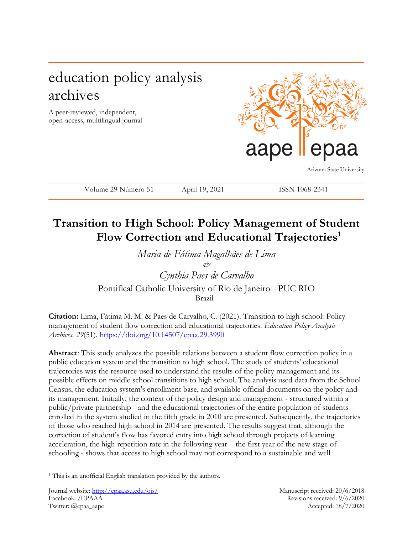# education policy analysis archives

A peer-reviewed, independent, open-access, multilingual journal



Arizona State University

Volume 29 Número 51 April 19, 2021 ISSN 1068-2341

## **Transition to High School: Policy Management of Student Flow Correction and Educational Trajectories<sup>1</sup>**

*Maria de Fátima Magalhães de Lima & Cynthia Paes de Carvalho* Pontifical Catholic University of Rio de Janeiro – PUC RIO Brazil

**Citation:** Lima, Fátima M. M. & Paes de Carvalho, C. (2021). Transition to high school: Policy management of student flow correction and educational trajectories. *Education Policy Analysis Archives, 29*(51). <https://doi.org/10.14507/epaa.29.3990>

**Abstract**: This study analyzes the possible relations between a student flow correction policy in a public education system and the transition to high school. The study of students' educational trajectories was the resource used to understand the results of the policy management and its possible effects on middle school transitions to high school. The analysis used data from the School Census, the education system's enrollment base, and available official documents on the policy and its management. Initially, the context of the policy design and management - structured within a public/private partnership - and the educational trajectories of the entire population of students enrolled in the system studied in the fifth grade in 2010 are presented. Subsequently, the trajectories of those who reached high school in 2014 are presented. The results suggest that, although the correction of student's flow has favored entry into high school through projects of learning acceleration, the high repetition rate in the following year – the first year of the new stage of schooling - shows that access to high school may not correspond to a sustainable and well

 $\overline{a}$ 

<sup>&</sup>lt;sup>1</sup> This is an unofficial English translation provided by the authors.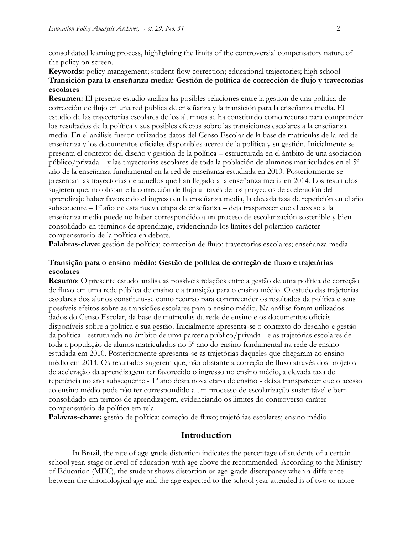consolidated learning process, highlighting the limits of the controversial compensatory nature of the policy on screen.

### **Keywords:** policy management; student flow correction; educational trajectories; high school **Transición para la enseñanza media: Gestión de política de corrección de flujo y trayectorias escolares**

**Resumen:** El presente estudio analiza las posibles relaciones entre la gestión de una política de corrección de flujo en una red pública de enseñanza y la transición para la enseñanza media. El estudio de las trayectorias escolares de los alumnos se ha constituido como recurso para comprender los resultados de la política y sus posibles efectos sobre las transiciones escolares a la enseñanza media. En el análisis fueron utilizados datos del Censo Escolar de la base de matrículas de la red de enseñanza y los documentos oficiales disponibles acerca de la política y su gestión. Inicialmente se presenta el contexto del diseño y gestión de la política – estructurada en el ámbito de una asociación público/privada – y las trayectorias escolares de toda la población de alumnos matriculados en el 5º año de la enseñanza fundamental en la red de enseñanza estudiada en 2010. Posteriormente se presentan las trayectorias de aquellos que han llegado a la enseñanza media en 2014. Los resultados sugieren que, no obstante la corrección de flujo a través de los proyectos de aceleración del aprendizaje haber favorecido el ingreso en la enseñanza media, la elevada tasa de repetición en el año subsecuente – 1<sup>er</sup>año de esta nueva etapa de enseñanza – deja trasparecer que el acceso a la enseñanza media puede no haber correspondido a un proceso de escolarización sostenible y bien consolidado en términos de aprendizaje, evidenciando los límites del polémico carácter compensatorio de la política en debate.

Palabras-clave: gestión de política; corrección de flujo; trayectorias escolares; enseñanza media

#### **Transição para o ensino médio: Gestão de política de correção de fluxo e trajetórias escolares**

**Resumo**: O presente estudo analisa as possíveis relações entre a gestão de uma política de correção de fluxo em uma rede pública de ensino e a transição para o ensino médio. O estudo das trajetórias escolares dos alunos constituiu-se como recurso para compreender os resultados da política e seus possíveis efeitos sobre as transições escolares para o ensino médio. Na análise foram utilizados dados do Censo Escolar, da base de matrículas da rede de ensino e os documentos oficiais disponíveis sobre a política e sua gestão. Inicialmente apresenta-se o contexto do desenho e gestão da política - estruturada no âmbito de uma parceria público/privada - e as trajetórias escolares de toda a população de alunos matriculados no 5º ano do ensino fundamental na rede de ensino estudada em 2010. Posteriormente apresenta-se as trajetórias daqueles que chegaram ao ensino médio em 2014. Os resultados sugerem que, não obstante a correção de fluxo através dos projetos de aceleração da aprendizagem ter favorecido o ingresso no ensino médio, a elevada taxa de repetência no ano subsequente - 1º ano desta nova etapa de ensino - deixa transparecer que o acesso ao ensino médio pode não ter correspondido a um processo de escolarização sustentável e bem consolidado em termos de aprendizagem, evidenciando os limites do controverso caráter compensatório da política em tela.

**Palavras-chave:** gestão de política; correção de fluxo; trajetórias escolares; ensino médio

### **Introduction**

In Brazil, the rate of age-grade distortion indicates the percentage of students of a certain school year, stage or level of education with age above the recommended. According to the Ministry of Education (MEC), the student shows distortion or age-grade discrepancy when a difference between the chronological age and the age expected to the school year attended is of two or more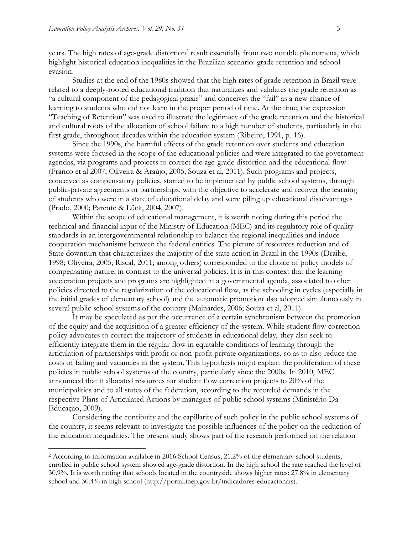years. The high rates of age-grade distortion<sup>2</sup> result essentially from two notable phenomena, which highlight historical education inequalities in the Brazilian scenario: grade retention and school evasion.

Studies at the end of the 1980s showed that the high rates of grade retention in Brazil were related to a deeply-rooted educational tradition that naturalizes and validates the grade retention as "a cultural component of the pedagogical praxis" and conceives the "fail" as a new chance of learning to students who did not learn in the proper period of time. At the time, the expression "Teaching of Retention" was used to illustrate the legitimacy of the grade retention and the historical and cultural roots of the allocation of school failure to a high number of students, particularly in the first grade, throughout decades within the education system (Ribeiro, 1991, p. 16).

Since the 1990s, the harmful effects of the grade retention over students and education systems were focused in the scope of the educational policies and were integrated to the government agendas, via programs and projects to correct the age-grade distortion and the educational flow (Franco et al 2007; Oliveira & Araújo, 2005; Souza et al, 2011). Such programs and projects, conceived as compensatory policies, started to be implemented by public school systems, through public-private agreements or partnerships, with the objective to accelerate and recover the learning of students who were in a state of educational delay and were piling up educational disadvantages (Prado, 2000; Parente & Lück, 2004, 2007).

Within the scope of educational management, it is worth noting during this period the technical and financial input of the Ministry of Education (MEC) and its regulatory role of quality standards in an intergovernmental relationship to balance the regional inequalities and induce cooperation mechanisms between the federal entities. The picture of resources reduction and of State downturn that characterizes the majority of the state action in Brazil in the 1990s (Draibe, 1998; Oliveira, 2005; Riscal, 2011; among others) corresponded to the choice of policy models of compensating nature, in contrast to the universal policies. It is in this context that the learning acceleration projects and programs are highlighted in a governmental agenda, associated to other policies directed to the regularization of the educational flow, as the schooling in cycles (especially in the initial grades of elementary school) and the automatic promotion also adopted simultaneously in several public school systems of the country (Mainardes, 2006; Souza et al, 2011).

It may be speculated as per the occurrence of a certain synchronism between the promotion of the equity and the acquisition of a greater efficiency of the system. While student flow correction policy advocates to correct the trajectory of students in educational delay, they also seek to efficiently integrate them in the regular flow in equitable conditions of learning through the articulation of partnerships with profit or non-profit private organizations, so as to also reduce the costs of failing and vacancies in the system. This hypothesis might explain the proliferation of these policies in public school systems of the country, particularly since the 2000s. In 2010, MEC announced that it allocated resources for student flow correction projects to 20% of the municipalities and to all states of the federation, according to the recorded demands in the respective Plans of Articulated Actions by managers of public school systems (Ministério Da Educação, 2009).

Considering the continuity and the capillarity of such policy in the public school systems of the country, it seems relevant to investigate the possible influences of the policy on the reduction of the education inequalities. The present study shows part of the research performed on the relation

<sup>&</sup>lt;sup>2</sup> According to information available in 2016 School Census, 21.2% of the elementary school students, enrolled in public school system showed age-grade distortion. In the high school the rate reached the level of 30.9%. It is worth noting that schools located in the countryside shows higher rates: 27.8% in elementary school and 30.4% in high school (http://portal.inep.gov.br/indicadores-educacionais).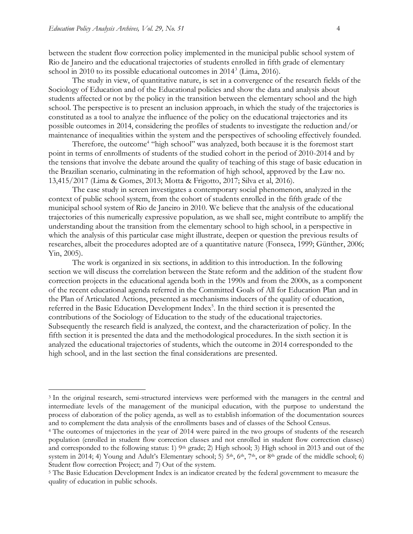between the student flow correction policy implemented in the municipal public school system of Rio de Janeiro and the educational trajectories of students enrolled in fifth grade of elementary school in 2010 to its possible educational outcomes in 2014<sup>3</sup> (Lima, 2016).

The study in view, of quantitative nature, is set in a convergence of the research fields of the Sociology of Education and of the Educational policies and show the data and analysis about students affected or not by the policy in the transition between the elementary school and the high school. The perspective is to present an inclusion approach, in which the study of the trajectories is constituted as a tool to analyze the influence of the policy on the educational trajectories and its possible outcomes in 2014, considering the profiles of students to investigate the reduction and/or maintenance of inequalities within the system and the perspectives of schooling effectively founded.

Therefore, the outcome<sup>4</sup> "high school" was analyzed, both because it is the foremost start point in terms of enrollments of students of the studied cohort in the period of 2010-2014 and by the tensions that involve the debate around the quality of teaching of this stage of basic education in the Brazilian scenario, culminating in the reformation of high school, approved by the Law no. 13,415/2017 (Lima & Gomes, 2013; Motta & Frigotto, 2017; Silva et al, 2016).

The case study in screen investigates a contemporary social phenomenon, analyzed in the context of public school system, from the cohort of students enrolled in the fifth grade of the municipal school system of Rio de Janeiro in 2010. We believe that the analysis of the educational trajectories of this numerically expressive population, as we shall see, might contribute to amplify the understanding about the transition from the elementary school to high school, in a perspective in which the analysis of this particular case might illustrate, deepen or question the previous results of researches, albeit the procedures adopted are of a quantitative nature (Fonseca, 1999; Günther, 2006; Yin, 2005).

The work is organized in six sections, in addition to this introduction. In the following section we will discuss the correlation between the State reform and the addition of the student flow correction projects in the educational agenda both in the 1990s and from the 2000s, as a component of the recent educational agenda referred in the Committed Goals of All for Education Plan and in the Plan of Articulated Actions, presented as mechanisms inducers of the quality of education, referred in the Basic Education Development Index<sup>5</sup>. In the third section it is presented the contributions of the Sociology of Education to the study of the educational trajectories. Subsequently the research field is analyzed, the context, and the characterization of policy. In the fifth section it is presented the data and the methodological procedures. In the sixth section it is analyzed the educational trajectories of students, which the outcome in 2014 corresponded to the high school, and in the last section the final considerations are presented.

<sup>3</sup> In the original research, semi-structured interviews were performed with the managers in the central and intermediate levels of the management of the municipal education, with the purpose to understand the process of elaboration of the policy agenda, as well as to establish information of the documentation sources and to complement the data analysis of the enrollments bases and of classes of the School Census.

<sup>4</sup> The outcomes of trajectories in the year of 2014 were paired in the two groups of students of the research population (enrolled in student flow correction classes and not enrolled in student flow correction classes) and corresponded to the following status: 1)  $9<sup>th</sup>$  grade; 2) High school; 3) High school in 2013 and out of the system in 2014; 4) Young and Adult's Elementary school; 5)  $5<sup>th</sup>$ ,  $6<sup>th</sup>$ ,  $7<sup>th</sup>$ , or  $8<sup>th</sup>$  grade of the middle school; 6) Student flow correction Project; and 7) Out of the system.

<sup>5</sup> The Basic Education Development Index is an indicator created by the federal government to measure the quality of education in public schools.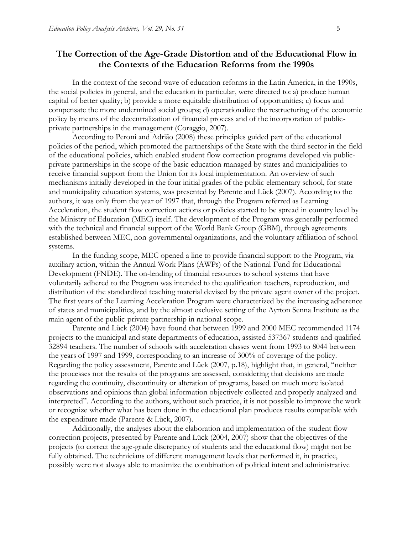## **The Correction of the Age-Grade Distortion and of the Educational Flow in the Contexts of the Education Reforms from the 1990s**

In the context of the second wave of education reforms in the Latin America, in the 1990s, the social policies in general, and the education in particular, were directed to: a) produce human capital of better quality; b) provide a more equitable distribution of opportunities; c) focus and compensate the more undermined social groups; d) operationalize the restructuring of the economic policy by means of the decentralization of financial process and of the incorporation of publicprivate partnerships in the management (Coraggio, 2007).

According to Peroni and Adrião (2008) these principles guided part of the educational policies of the period, which promoted the partnerships of the State with the third sector in the field of the educational policies, which enabled student flow correction programs developed via publicprivate partnerships in the scope of the basic education managed by states and municipalities to receive financial support from the Union for its local implementation. An overview of such mechanisms initially developed in the four initial grades of the public elementary school, for state and municipality education systems, was presented by Parente and Lück (2007). According to the authors, it was only from the year of 1997 that, through the Program referred as Learning Acceleration, the student flow correction actions or policies started to be spread in country level by the Ministry of Education (MEC) itself. The development of the Program was generally performed with the technical and financial support of the World Bank Group (GBM), through agreements established between MEC, non-governmental organizations, and the voluntary affiliation of school systems.

In the funding scope, MEC opened a line to provide financial support to the Program, via auxiliary action, within the Annual Work Plans (AWPs) of the National Fund for Educational Development (FNDE). The on-lending of financial resources to school systems that have voluntarily adhered to the Program was intended to the qualification teachers, reproduction, and distribution of the standardized teaching material devised by the private agent owner of the project. The first years of the Learning Acceleration Program were characterized by the increasing adherence of states and municipalities, and by the almost exclusive setting of the Ayrton Senna Institute as the main agent of the public-private partnership in national scope.

Parente and Lück (2004) have found that between 1999 and 2000 MEC recommended 1174 projects to the municipal and state departments of education, assisted 537367 students and qualified 32894 teachers. The number of schools with acceleration classes went from 1993 to 8044 between the years of 1997 and 1999, corresponding to an increase of 300% of coverage of the policy. Regarding the policy assessment, Parente and Lück (2007, p.18), highlight that, in general, "neither the processes nor the results of the programs are assessed, considering that decisions are made regarding the continuity, discontinuity or alteration of programs, based on much more isolated observations and opinions than global information objectively collected and properly analyzed and interpreted". According to the authors, without such practice, it is not possible to improve the work or recognize whether what has been done in the educational plan produces results compatible with the expenditure made (Parente & Lück, 2007).

Additionally, the analyses about the elaboration and implementation of the student flow correction projects, presented by Parente and Lück (2004, 2007) show that the objectives of the projects (to correct the age-grade discrepancy of students and the educational flow) might not be fully obtained. The technicians of different management levels that performed it, in practice, possibly were not always able to maximize the combination of political intent and administrative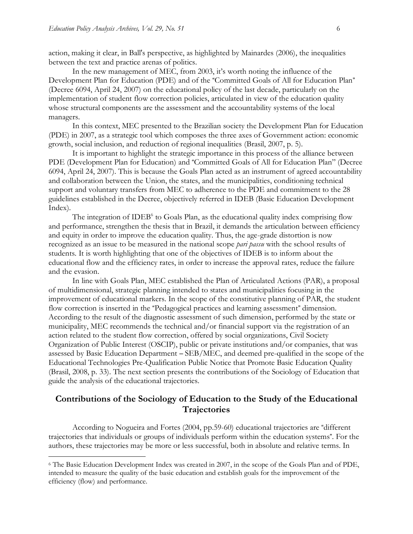action, making it clear, in Ball's perspective, as highlighted by Mainardes (2006), the inequalities between the text and practice arenas of politics.

In the new management of MEC, from 2003, it's worth noting the influence of the Development Plan for Education (PDE) and of the "Committed Goals of All for Education Plan" (Decree 6094, April 24, 2007) on the educational policy of the last decade, particularly on the implementation of student flow correction policies, articulated in view of the education quality whose structural components are the assessment and the accountability systems of the local managers.

In this context, MEC presented to the Brazilian society the Development Plan for Education (PDE) in 2007, as a strategic tool which composes the three axes of Government action: economic growth, social inclusion, and reduction of regional inequalities (Brasil, 2007, p. 5).

It is important to highlight the strategic importance in this process of the alliance between PDE (Development Plan for Education) and "Committed Goals of All for Education Plan" (Decree 6094, April 24, 2007). This is because the Goals Plan acted as an instrument of agreed accountability and collaboration between the Union, the states, and the municipalities, conditioning technical support and voluntary transfers from MEC to adherence to the PDE and commitment to the 28 guidelines established in the Decree, objectively referred in IDEB (Basic Education Development Index).

The integration of IDEB<sup>6</sup> to Goals Plan, as the educational quality index comprising flow and performance, strengthen the thesis that in Brazil, it demands the articulation between efficiency and equity in order to improve the education quality. Thus, the age-grade distortion is now recognized as an issue to be measured in the national scope *pari passu* with the school results of students. It is worth highlighting that one of the objectives of IDEB is to inform about the educational flow and the efficiency rates, in order to increase the approval rates, reduce the failure and the evasion.

In line with Goals Plan, MEC established the Plan of Articulated Actions (PAR), a proposal of multidimensional, strategic planning intended to states and municipalities focusing in the improvement of educational markers. In the scope of the constitutive planning of PAR, the student flow correction is inserted in the "Pedagogical practices and learning assessment" dimension. According to the result of the diagnostic assessment of such dimension, performed by the state or municipality, MEC recommends the technical and/or financial support via the registration of an action related to the student flow correction, offered by social organizations, Civil Society Organization of Public Interest (OSCIP), public or private institutions and/or companies, that was assessed by Basic Education Department – SEB/MEC, and deemed pre-qualified in the scope of the Educational Technologies Pre-Qualification Public Notice that Promote Basic Education Quality (Brasil, 2008, p. 33). The next section presents the contributions of the Sociology of Education that guide the analysis of the educational trajectories.

## **Contributions of the Sociology of Education to the Study of the Educational Trajectories**

According to Nogueira and Fortes (2004, pp.59-60) educational trajectories are "different trajectories that individuals or groups of individuals perform within the education systems". For the authors, these trajectories may be more or less successful, both in absolute and relative terms. In

<sup>6</sup> The Basic Education Development Index was created in 2007, in the scope of the Goals Plan and of PDE, intended to measure the quality of the basic education and establish goals for the improvement of the efficiency (flow) and performance.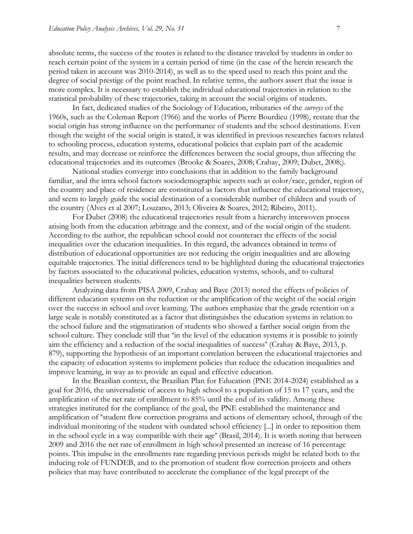absolute terms, the success of the routes is related to the distance traveled by students in order to reach certain point of the system in a certain period of time (in the case of the herein research the period taken in account was 2010-2014), as well as to the speed used to reach this point and the degree of social prestige of the point reached. In relative terms, the authors assert that the issue is more complex. It is necessary to establish the individual educational trajectories in relation to the statistical probability of these trajectories, taking in account the social origins of students.

In fact, dedicated studies of the Sociology of Education, tributaries of the *surveys* of the 1960s, such as the Coleman Report (1966) and the works of Pierre Bourdieu (1998), restate that the social origin has strong influence on the performance of students and the school destinations. Even though the weight of the social origin is stated, it was identified in previous researches factors related to schooling process, education systems, educational policies that explain part of the academic results, and may decrease or reinforce the differences between the social groups, thus affecting the educational trajectories and its outcomes (Brooke & Soares, 2008; Crahay, 2009; Dubet, 2008;).

National studies converge into conclusions that in addition to the family background familiar, and the intra school factors sociodemographic aspects such as color/race, gender, region of the country and place of residence are constituted as factors that influence the educational trajectory, and seem to largely guide the social destination of a considerable number of children and youth of the country (Alves et al 2007; Louzano, 2013; Oliveira & Soares, 2012; Ribeiro, 2011).

For Dubet (2008) the educational trajectories result from a hierarchy interwoven process arising both from the education arbitrage and the context, and of the social origin of the student. According to the author, the republican school could not counteract the effects of the social inequalities over the education inequalities. In this regard, the advances obtained in terms of distribution of educational opportunities are not reducing the origin inequalities and are allowing equitable trajectories. The initial differences tend to be highlighted during the educational trajectories by factors associated to the educational policies, education systems, schools, and to cultural inequalities between students.

Analyzing data from PISA 2009, Crahay and Baye (2013) noted the effects of policies of different education systems on the reduction or the amplification of the weight of the social origin over the success in school and over learning. The authors emphasize that the grade retention on a large scale is notably constituted as a factor that distinguishes the education systems in relation to the school failure and the stigmatization of students who showed a farther social origin from the school culture. They conclude still that "in the level of the education systems it is possible to jointly aim the efficiency and a reduction of the social inequalities of success" (Crahay & Baye, 2013, p. 879), supporting the hypothesis of an important correlation between the educational trajectories and the capacity of education systems to implement policies that reduce the education inequalities and improve learning, in way as to provide an equal and effective education.

In the Brazilian context, the Brazilian Plan for Education (PNE 2014-2024) established as a goal for 2016, the universalistic of access to high school to a population of 15 to 17 years, and the amplification of the net rate of enrollment to 85% until the end of its validity. Among these strategies instituted for the compliance of the goal, the PNE established the maintenance and amplification of "student flow correction programs and actions of elementary school, through of the individual monitoring of the student with outdated school efficiency [...] in order to reposition them in the school cycle in a way compatible with their age" (Brasil, 2014). It is worth noting that between 2009 and 2016 the net rate of enrollment in high school presented an increase of 16 percentage points. This impulse in the enrollments rate regarding previous periods might be related both to the inducing role of FUNDEB, and to the promotion of student flow correction projects and others policies that may have contributed to accelerate the compliance of the legal precept of the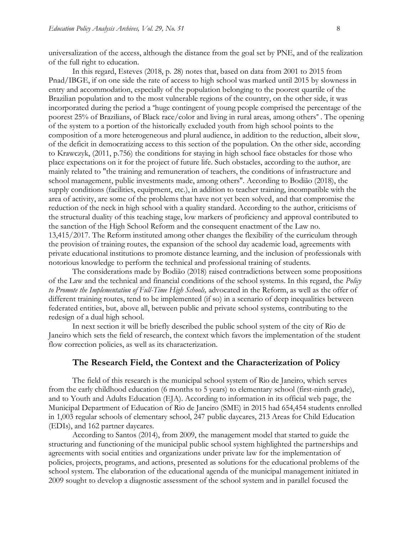universalization of the access, although the distance from the goal set by PNE, and of the realization of the full right to education.

In this regard, Esteves (2018, p. 28) notes that, based on data from 2001 to 2015 from Pnad/IBGE, if on one side the rate of access to high school was marked until 2015 by slowness in entry and accommodation, especially of the population belonging to the poorest quartile of the Brazilian population and to the most vulnerable regions of the country, on the other side, it was incorporated during the period a "huge contingent of young people comprised the percentage of the poorest 25% of Brazilians, of Black race/color and living in rural areas, among others" . The opening of the system to a portion of the historically excluded youth from high school points to the composition of a more heterogeneous and plural audience, in addition to the reduction, albeit slow, of the deficit in democratizing access to this section of the population. On the other side, according to Krawczyk, (2011, p.756) the conditions for staying in high school face obstacles for those who place expectations on it for the project of future life. Such obstacles, according to the author, are mainly related to "the training and remuneration of teachers, the conditions of infrastructure and school management, public investments made, among others". According to Bodião (2018), the supply conditions (facilities, equipment, etc.), in addition to teacher training, incompatible with the area of activity, are some of the problems that have not yet been solved, and that compromise the reduction of the neck in high school with a quality standard. According to the author, criticisms of the structural duality of this teaching stage, low markers of proficiency and approval contributed to the sanction of the High School Reform and the consequent enactment of the Law no. 13,415/2017. The Reform instituted among other changes the flexibility of the curriculum through the provision of training routes, the expansion of the school day academic load, agreements with private educational institutions to promote distance learning, and the inclusion of professionals with notorious knowledge to perform the technical and professional training of students.

The considerations made by Bodião (2018) raised contradictions between some propositions of the Law and the technical and financial conditions of the school systems. In this regard, the *Policy to Promote the Implementation of Full-Time High Schools,* advocated in the Reform, as well as the offer of different training routes, tend to be implemented (if so) in a scenario of deep inequalities between federated entities, but, above all, between public and private school systems, contributing to the redesign of a dual high school.

In next section it will be briefly described the public school system of the city of Rio de Janeiro which sets the field of research, the context which favors the implementation of the student flow correction policies, as well as its characterization.

#### **The Research Field, the Context and the Characterization of Policy**

The field of this research is the municipal school system of Rio de Janeiro, which serves from the early childhood education (6 months to 5 years) to elementary school (first-ninth grade), and to Youth and Adults Education (EJA). According to information in its official web page, the Municipal Department of Education of Rio de Janeiro (SME) in 2015 had 654,454 students enrolled in 1,003 regular schools of elementary school, 247 public daycares, 213 Areas for Child Education (EDIs), and 162 partner daycares.

According to Santos (2014), from 2009, the management model that started to guide the structuring and functioning of the municipal public school system highlighted the partnerships and agreements with social entities and organizations under private law for the implementation of policies, projects, programs, and actions, presented as solutions for the educational problems of the school system. The elaboration of the educational agenda of the municipal management initiated in 2009 sought to develop a diagnostic assessment of the school system and in parallel focused the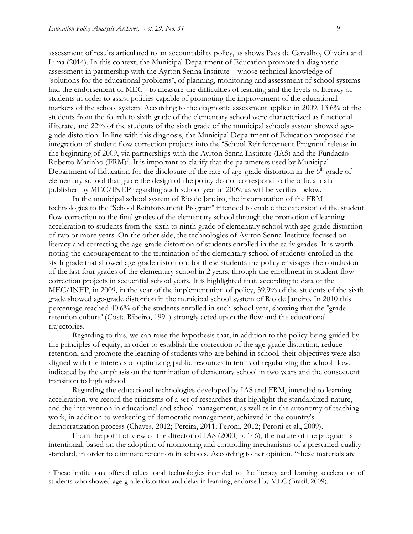assessment of results articulated to an accountability policy, as shows Paes de Carvalho, Oliveira and Lima (2014). In this context, the Municipal Department of Education promoted a diagnostic assessment in partnership with the Ayrton Senna Institute – whose technical knowledge of "solutions for the educational problems", of planning, monitoring and assessment of school systems had the endorsement of MEC - to measure the difficulties of learning and the levels of literacy of students in order to assist policies capable of promoting the improvement of the educational markers of the school system. According to the diagnostic assessment applied in 2009, 13.6% of the students from the fourth to sixth grade of the elementary school were characterized as functional illiterate, and 22% of the students of the sixth grade of the municipal schools system showed agegrade distortion. In line with this diagnosis, the Municipal Department of Education proposed the integration of student flow correction projects into the "School Reinforcement Program" release in the beginning of 2009, via partnerships with the Ayrton Senna Institute (IAS) and the Fundação Roberto Marinho (FRM)<sup>7</sup>. It is important to clarify that the parameters used by Municipal Department of Education for the disclosure of the rate of age-grade distortion in the  $6<sup>th</sup>$  grade of elementary school that guide the design of the policy do not correspond to the official data published by MEC/INEP regarding such school year in 2009, as will be verified below.

In the municipal school system of Rio de Janeiro, the incorporation of the FRM technologies to the "School Reinforcement Program" intended to enable the extension of the student flow correction to the final grades of the elementary school through the promotion of learning acceleration to students from the sixth to ninth grade of elementary school with age-grade distortion of two or more years. On the other side, the technologies of Ayrton Senna Institute focused on literacy and correcting the age-grade distortion of students enrolled in the early grades. It is worth noting the encouragement to the termination of the elementary school of students enrolled in the sixth grade that showed age-grade distortion: for these students the policy envisages the conclusion of the last four grades of the elementary school in 2 years, through the enrollment in student flow correction projects in sequential school years. It is highlighted that, according to data of the MEC/INEP, in 2009, in the year of the implementation of policy, 39.9% of the students of the sixth grade showed age-grade distortion in the municipal school system of Rio de Janeiro. In 2010 this percentage reached 40.6% of the students enrolled in such school year, showing that the "grade retention culture" (Costa Ribeiro, 1991) strongly acted upon the flow and the educational trajectories.

Regarding to this, we can raise the hypothesis that, in addition to the policy being guided by the principles of equity, in order to establish the correction of the age-grade distortion, reduce retention, and promote the learning of students who are behind in school, their objectives were also aligned with the interests of optimizing public resources in terms of regularizing the school flow, indicated by the emphasis on the termination of elementary school in two years and the consequent transition to high school.

Regarding the educational technologies developed by IAS and FRM, intended to learning acceleration, we record the criticisms of a set of researches that highlight the standardized nature, and the intervention in educational and school management, as well as in the autonomy of teaching work, in addition to weakening of democratic management, achieved in the country's democratization process (Chaves, 2012; Pereira, 2011; Peroni, 2012; Peroni et al., 2009).

From the point of view of the director of IAS (2000, p. 146), the nature of the program is intentional, based on the adoption of monitoring and controlling mechanisms of a presumed quality standard, in order to eliminate retention in schools. According to her opinion, "these materials are

<sup>7</sup> These institutions offered educational technologies intended to the literacy and learning acceleration of students who showed age-grade distortion and delay in learning, endorsed by MEC (Brasil, 2009).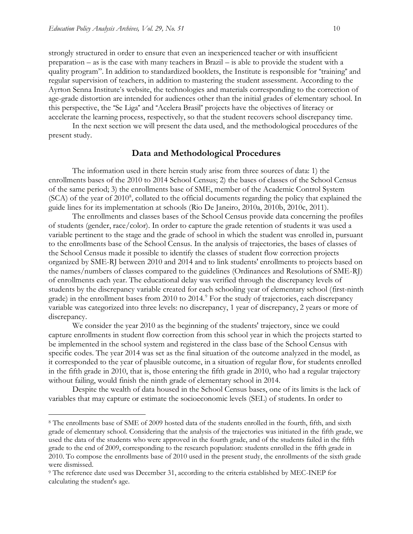strongly structured in order to ensure that even an inexperienced teacher or with insufficient preparation – as is the case with many teachers in Brazil – is able to provide the student with a quality program". In addition to standardized booklets, the Institute is responsible for "training" and regular supervision of teachers, in addition to mastering the student assessment. According to the Ayrton Senna Institute's website, the technologies and materials corresponding to the correction of age-grade distortion are intended for audiences other than the initial grades of elementary school. In this perspective, the "Se Liga" and "Acelera Brasil" projects have the objectives of literacy or accelerate the learning process, respectively, so that the student recovers school discrepancy time.

In the next section we will present the data used, and the methodological procedures of the present study.

#### **Data and Methodological Procedures**

The information used in there herein study arise from three sources of data: 1) the enrollments bases of the 2010 to 2014 School Census; 2) the bases of classes of the School Census of the same period; 3) the enrollments base of SME, member of the Academic Control System (SCA) of the year of 2010<sup>8</sup>, collated to the official documents regarding the policy that explained the guide lines for its implementation at schools (Rio De Janeiro, 2010a, 2010b, 2010c, 2011).

The enrollments and classes bases of the School Census provide data concerning the profiles of students (gender, race/color). In order to capture the grade retention of students it was used a variable pertinent to the stage and the grade of school in which the student was enrolled in, pursuant to the enrollments base of the School Census. In the analysis of trajectories, the bases of classes of the School Census made it possible to identify the classes of student flow correction projects organized by SME-RJ between 2010 and 2014 and to link students' enrollments to projects based on the names/numbers of classes compared to the guidelines (Ordinances and Resolutions of SME-RJ) of enrollments each year. The educational delay was verified through the discrepancy levels of students by the discrepancy variable created for each schooling year of elementary school (first-ninth grade) in the enrollment bases from 2010 to 2014.<sup>9</sup> For the study of trajectories, each discrepancy variable was categorized into three levels: no discrepancy, 1 year of discrepancy, 2 years or more of discrepancy.

We consider the year 2010 as the beginning of the students' trajectory, since we could capture enrollments in student flow correction from this school year in which the projects started to be implemented in the school system and registered in the class base of the School Census with specific codes. The year 2014 was set as the final situation of the outcome analyzed in the model, as it corresponded to the year of plausible outcome, in a situation of regular flow, for students enrolled in the fifth grade in 2010, that is, those entering the fifth grade in 2010, who had a regular trajectory without failing, would finish the ninth grade of elementary school in 2014.

Despite the wealth of data housed in the School Census bases, one of its limits is the lack of variables that may capture or estimate the socioeconomic levels (SEL) of students. In order to

<sup>8</sup> The enrollments base of SME of 2009 hosted data of the students enrolled in the fourth, fifth, and sixth grade of elementary school. Considering that the analysis of the trajectories was initiated in the fifth grade, we used the data of the students who were approved in the fourth grade, and of the students failed in the fifth grade to the end of 2009, corresponding to the research population: students enrolled in the fifth grade in 2010. To compose the enrollments base of 2010 used in the present study, the enrollments of the sixth grade were dismissed.

<sup>9</sup> The reference date used was December 31, according to the criteria established by MEC-INEP for calculating the student's age.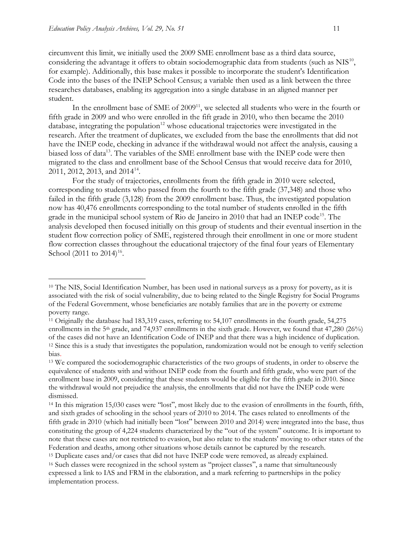circumvent this limit, we initially used the 2009 SME enrollment base as a third data source, considering the advantage it offers to obtain sociodemographic data from students (such as  $NIS^{10}$ , for example). Additionally, this base makes it possible to incorporate the student's Identification Code into the bases of the INEP School Census; a variable then used as a link between the three researches databases, enabling its aggregation into a single database in an aligned manner per student.

In the enrollment base of SME of 2009<sup>11</sup>, we selected all students who were in the fourth or fifth grade in 2009 and who were enrolled in the fift grade in 2010, who then became the 2010 database, integrating the population $12$  whose educational trajectories were investigated in the research. After the treatment of duplicates, we excluded from the base the enrollments that did not have the INEP code, checking in advance if the withdrawal would not affect the analysis, causing a biased loss of data<sup>13</sup>. The variables of the SME enrollment base with the INEP code were then migrated to the class and enrollment base of the School Census that would receive data for 2010, 2011, 2012, 2013, and 2014<sup>14</sup>.

For the study of trajectories, enrollments from the fifth grade in 2010 were selected, corresponding to students who passed from the fourth to the fifth grade (37,348) and those who failed in the fifth grade (3,128) from the 2009 enrollment base. Thus, the investigated population now has 40,476 enrollments corresponding to the total number of students enrolled in the fifth grade in the municipal school system of Rio de Janeiro in 2010 that had an INEP code<sup>15</sup>. The analysis developed then focused initially on this group of students and their eventual insertion in the student flow correction policy of SME, registered through their enrollment in one or more student flow correction classes throughout the educational trajectory of the final four years of Elementary School  $(2011 \text{ to } 2014)^{16}$ .

<sup>10</sup> The NIS, Social Identification Number, has been used in national surveys as a proxy for poverty, as it is associated with the risk of social vulnerability, due to being related to the Single Registry for Social Programs of the Federal Government, whose beneficiaries are notably families that are in the poverty or extreme poverty range.

<sup>11</sup> Originally the database had 183,319 cases, referring to: 54,107 enrollments in the fourth grade, 54,275 enrollments in the 5<sup>th</sup> grade, and 74,937 enrollments in the sixth grade. However, we found that  $47,280$  (26%) of the cases did not have an Identification Code of INEP and that there was a high incidence of duplication. <sup>12</sup> Since this is a study that investigates the population, randomization would not be enough to verify selection bias.

<sup>&</sup>lt;sup>13</sup> We compared the sociodemographic characteristics of the two groups of students, in order to observe the equivalence of students with and without INEP code from the fourth and fifth grade, who were part of the enrollment base in 2009, considering that these students would be eligible for the fifth grade in 2010. Since the withdrawal would not prejudice the analysis, the enrollments that did not have the INEP code were dismissed.

<sup>14</sup> In this migration 15,030 cases were "lost", most likely due to the evasion of enrollments in the fourth, fifth, and sixth grades of schooling in the school years of 2010 to 2014. The cases related to enrollments of the fifth grade in 2010 (which had initially been "lost" between 2010 and 2014) were integrated into the base, thus constituting the group of 4,224 students characterized by the "out of the system" outcome. It is important to note that these cases are not restricted to evasion, but also relate to the students' moving to other states of the Federation and deaths, among other situations whose details cannot be captured by the research.

<sup>15</sup> Duplicate cases and/or cases that did not have INEP code were removed, as already explained. <sup>16</sup> Such classes were recognized in the school system as "project classes", a name that simultaneously expressed a link to IAS and FRM in the elaboration, and a mark referring to partnerships in the policy implementation process.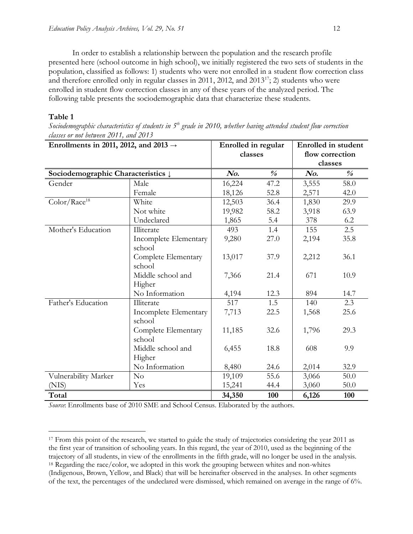In order to establish a relationship between the population and the research profile presented here (school outcome in high school), we initially registered the two sets of students in the population, classified as follows: 1) students who were not enrolled in a student flow correction class and therefore enrolled only in regular classes in 2011, 2012, and  $2013^{17}$ ; 2) students who were enrolled in student flow correction classes in any of these years of the analyzed period. The following table presents the sociodemographic data that characterize these students.

#### **Table 1**

 $\overline{a}$ 

*Sociodemographic characteristics of students in 5 th grade in 2010, whether having attended student flow correction classes or not between 2011, and 2013*

| Enrollments in 2011, 2012, and 2013 $\rightarrow$ |                                 | Enrolled in regular |                         | <b>Enrolled</b> in student |                                    |
|---------------------------------------------------|---------------------------------|---------------------|-------------------------|----------------------------|------------------------------------|
|                                                   |                                 | classes             |                         | flow correction            |                                    |
|                                                   |                                 |                     |                         | classes                    |                                    |
| Sociodemographic Characteristics $\downarrow$     |                                 | No.                 | $\frac{\theta}{\theta}$ | No.                        | $\frac{\partial}{\partial \theta}$ |
| Gender                                            | Male                            | 16,224              | 47.2                    | 3,555                      | 58.0                               |
|                                                   | Female                          | 18,126              | 52.8                    | 2,571                      | 42.0                               |
| Color/Race <sup>18</sup>                          | White                           | 12,503              | 36.4                    | 1,830                      | 29.9                               |
|                                                   | Not white                       | 19,982              | 58.2                    | 3,918                      | 63.9                               |
|                                                   | Undeclared                      | 1,865               | 5.4                     | 378                        | 6.2                                |
| Mother's Education                                | Illiterate                      | 493                 | 1.4                     | 155                        | 2.5                                |
|                                                   | Incomplete Elementary<br>school | 9,280               | 27.0                    | 2,194                      | 35.8                               |
|                                                   | Complete Elementary<br>school   | 13,017              | 37.9                    | 2,212                      | 36.1                               |
|                                                   | Middle school and<br>Higher     | 7,366               | 21.4                    | 671                        | 10.9                               |
|                                                   | No Information                  | 4,194               | 12.3                    | 894                        | 14.7                               |
| Father's Education<br>Illiterate                  |                                 | 517                 | 1.5                     | 140                        | 2.3                                |
|                                                   | Incomplete Elementary<br>school | 7,713               | 22.5                    | 1,568                      | 25.6                               |
|                                                   | Complete Elementary<br>school   | 11,185              | 32.6                    | 1,796                      | 29.3                               |
|                                                   | Middle school and<br>Higher     | 6,455               | 18.8                    | 608                        | 9.9                                |
|                                                   | No Information                  | 8,480               | 24.6                    | 2,014                      | 32.9                               |
| Vulnerability Marker                              | No                              | 19,109              | 55.6                    | 3,066                      | 50.0                               |
| (NIS)                                             | Yes                             | 15,241              | 44.4                    | 3,060                      | 50.0                               |
| Total                                             |                                 | 34,350              | 100                     | 6,126                      | 100                                |

*Source*: Enrollments base of 2010 SME and School Census. Elaborated by the authors.

<sup>&</sup>lt;sup>17</sup> From this point of the research, we started to guide the study of trajectories considering the year 2011 as the first year of transition of schooling years. In this regard, the year of 2010, used as the beginning of the trajectory of all students, in view of the enrollments in the fifth grade, will no longer be used in the analysis. <sup>18</sup> Regarding the race/color, we adopted in this work the grouping between whites and non-whites (Indigenous, Brown, Yellow, and Black) that will be hereinafter observed in the analyses. In other segments of the text, the percentages of the undeclared were dismissed, which remained on average in the range of 6%.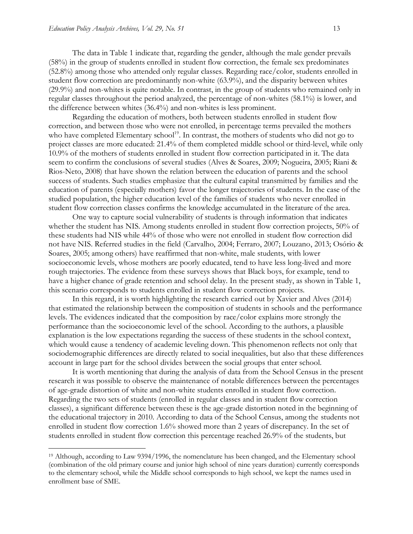The data in Table 1 indicate that, regarding the gender, although the male gender prevails (58%) in the group of students enrolled in student flow correction, the female sex predominates (52.8%) among those who attended only regular classes. Regarding race/color, students enrolled in student flow correction are predominantly non-white (63.9%), and the disparity between whites (29.9%) and non-whites is quite notable. In contrast, in the group of students who remained only in regular classes throughout the period analyzed, the percentage of non-whites (58.1%) is lower, and the difference between whites (36.4%) and non-whites is less prominent.

Regarding the education of mothers, both between students enrolled in student flow correction, and between those who were not enrolled, in percentage terms prevailed the mothers who have completed Elementary school<sup>19</sup>. In contrast, the mothers of students who did not go to project classes are more educated: 21.4% of them completed middle school or third-level, while only 10.9% of the mothers of students enrolled in student flow correction participated in it. The data seem to confirm the conclusions of several studies (Alves & Soares, 2009; Nogueira, 2005; Riani & Rios-Neto, 2008) that have shown the relation between the education of parents and the school success of students. Such studies emphasize that the cultural capital transmitted by families and the education of parents (especially mothers) favor the longer trajectories of students. In the case of the studied population, the higher education level of the families of students who never enrolled in student flow correction classes confirms the knowledge accumulated in the literature of the area.

One way to capture social vulnerability of students is through information that indicates whether the student has NIS. Among students enrolled in student flow correction projects, 50% of these students had NIS while 44% of those who were not enrolled in student flow correction did not have NIS. Referred studies in the field (Carvalho, 2004; Ferraro, 2007; Louzano, 2013; Osório & Soares, 2005; among others) have reaffirmed that non-white, male students, with lower socioeconomic levels, whose mothers are poorly educated, tend to have less long-lived and more rough trajectories. The evidence from these surveys shows that Black boys, for example, tend to have a higher chance of grade retention and school delay. In the present study, as shown in Table 1, this scenario corresponds to students enrolled in student flow correction projects.

In this regard, it is worth highlighting the research carried out by Xavier and Alves (2014) that estimated the relationship between the composition of students in schools and the performance levels. The evidences indicated that the composition by race/color explains more strongly the performance than the socioeconomic level of the school. According to the authors, a plausible explanation is the low expectations regarding the success of these students in the school context, which would cause a tendency of academic leveling down. This phenomenon reflects not only that sociodemographic differences are directly related to social inequalities, but also that these differences account in large part for the school divides between the social groups that enter school.

It is worth mentioning that during the analysis of data from the School Census in the present research it was possible to observe the maintenance of notable differences between the percentages of age-grade distortion of white and non-white students enrolled in student flow correction. Regarding the two sets of students (enrolled in regular classes and in student flow correction classes), a significant difference between these is the age-grade distortion noted in the beginning of the educational trajectory in 2010. According to data of the School Census, among the students not enrolled in student flow correction 1.6% showed more than 2 years of discrepancy. In the set of students enrolled in student flow correction this percentage reached 26.9% of the students, but

<sup>19</sup> Although, according to Law 9394/1996, the nomenclature has been changed, and the Elementary school (combination of the old primary course and junior high school of nine years duration) currently corresponds to the elementary school, while the Middle school corresponds to high school, we kept the names used in enrollment base of SME.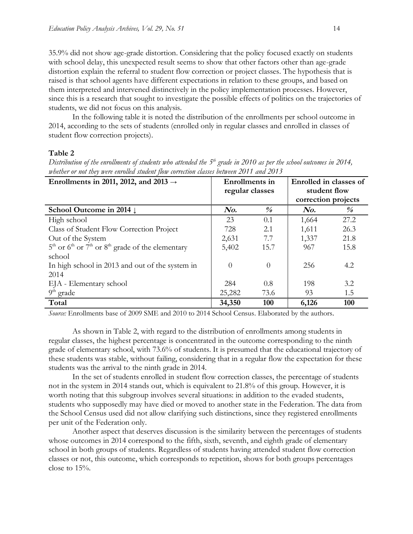35.9% did not show age-grade distortion. Considering that the policy focused exactly on students with school delay, this unexpected result seems to show that other factors other than age-grade distortion explain the referral to student flow correction or project classes. The hypothesis that is raised is that school agents have different expectations in relation to these groups, and based on them interpreted and intervened distinctively in the policy implementation processes. However, since this is a research that sought to investigate the possible effects of politics on the trajectories of students, we did not focus on this analysis.

In the following table it is noted the distribution of the enrollments per school outcome in 2014, according to the sets of students (enrolled only in regular classes and enrolled in classes of student flow correction projects).

#### **Table 2**

| www.cover or not twee were enrolled stationt flow correction classes octiveen 2011 and 2019 |                     |                         |                        |                         |  |  |
|---------------------------------------------------------------------------------------------|---------------------|-------------------------|------------------------|-------------------------|--|--|
| Enrollments in 2011, 2012, and 2013 $\rightarrow$                                           | Enrollments in      |                         | Enrolled in classes of |                         |  |  |
|                                                                                             | regular classes     |                         | student flow           |                         |  |  |
|                                                                                             | correction projects |                         |                        |                         |  |  |
| School Outcome in 2014 $\downarrow$                                                         | $\mathbf{N}$ o.     | $\frac{\theta}{\theta}$ | $\mathbf{N}$ o.        | $\frac{\theta}{\theta}$ |  |  |
| High school                                                                                 | 23                  | 0.1                     | 1,664                  | 27.2                    |  |  |
| Class of Student Flow Correction Project                                                    | 728                 | 2.1                     | 1,611                  | 26.3                    |  |  |
| Out of the System                                                                           | 2,631               | 7.7                     | 1,337                  | 21.8                    |  |  |
| $5th$ or $6th$ or $7th$ or $8th$ grade of the elementary                                    | 5,402               | 15.7                    | 967                    | 15.8                    |  |  |
| school                                                                                      |                     |                         |                        |                         |  |  |
| In high school in 2013 and out of the system in                                             | $\Omega$            | $\Omega$                | 256                    | 4.2                     |  |  |
| 2014                                                                                        |                     |                         |                        |                         |  |  |
| EJA - Elementary school                                                                     | 284                 | 0.8                     | 198                    | 3.2                     |  |  |
| $9th$ grade                                                                                 | 25,282              | 73.6                    | 93                     | 1.5                     |  |  |
| Total                                                                                       | 34,350              | 100                     | 6,126                  | 100                     |  |  |

*Distribution of the enrollments of students who attended the 5 th grade in 2010 as per the school outcomes in 2014, whether or not they were enrolled student flow correction classes between 2011 and 2013*

*Source:* Enrollments base of 2009 SME and 2010 to 2014 School Census. Elaborated by the authors.

As shown in Table 2, with regard to the distribution of enrollments among students in regular classes, the highest percentage is concentrated in the outcome corresponding to the ninth grade of elementary school, with 73.6% of students. It is presumed that the educational trajectory of these students was stable, without failing, considering that in a regular flow the expectation for these students was the arrival to the ninth grade in 2014.

In the set of students enrolled in student flow correction classes, the percentage of students not in the system in 2014 stands out, which is equivalent to 21.8% of this group. However, it is worth noting that this subgroup involves several situations: in addition to the evaded students, students who supposedly may have died or moved to another state in the Federation. The data from the School Census used did not allow clarifying such distinctions, since they registered enrollments per unit of the Federation only.

Another aspect that deserves discussion is the similarity between the percentages of students whose outcomes in 2014 correspond to the fifth, sixth, seventh, and eighth grade of elementary school in both groups of students. Regardless of students having attended student flow correction classes or not, this outcome, which corresponds to repetition, shows for both groups percentages close to 15%.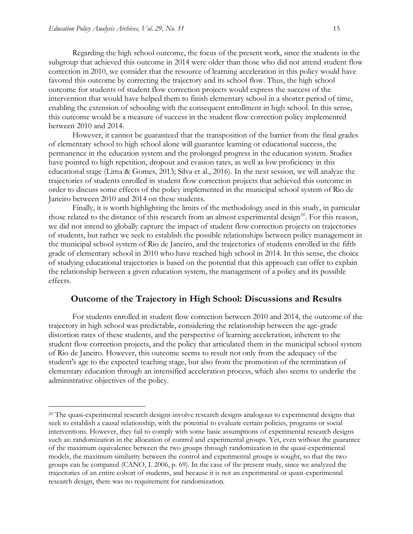Regarding the high school outcome, the focus of the present work, since the students in the subgroup that achieved this outcome in 2014 were older than those who did not attend student flow correction in 2010, we consider that the resource of learning acceleration in this policy would have favored this outcome by correcting the trajectory and its school flow. Thus, the high school outcome for students of student flow correction projects would express the success of the intervention that would have helped them to finish elementary school in a shorter period of time, enabling the extension of schooling with the consequent enrollment in high school. In this sense, this outcome would be a measure of success in the student flow correction policy implemented between 2010 and 2014.

However, it cannot be guaranteed that the transposition of the barrier from the final grades of elementary school to high school alone will guarantee learning or educational success, the permanence in the education system and the prolonged progress in the education system. Studies have pointed to high repetition, dropout and evasion rates, as well as low proficiency in this educational stage (Lima & Gomes, 2013; Silva et al., 2016). In the next session, we will analyze the trajectories of students enrolled in student flow correction projects that achieved this outcome in order to discuss some effects of the policy implemented in the municipal school system of Rio de Janeiro between 2010 and 2014 on these students.

Finally, it is worth highlighting the limits of the methodology used in this study, in particular those related to the distance of this research from an almost experimental design<sup>20</sup>. For this reason, we did not intend to globally capture the impact of student flow correction projects on trajectories of students, but rather we seek to establish the possible relationships between policy management in the municipal school system of Rio de Janeiro, and the trajectories of students enrolled in the fifth grade of elementary school in 2010 who have reached high school in 2014. In this sense, the choice of studying educational trajectories is based on the potential that this approach can offer to explain the relationship between a given education system, the management of a policy and its possible effects.

#### **Outcome of the Trajectory in High School: Discussions and Results**

For students enrolled in student flow correction between 2010 and 2014, the outcome of the trajectory in high school was predictable, considering the relationship between the age-grade distortion rates of these students, and the perspective of learning acceleration, inherent to the student flow correction projects, and the policy that articulated them in the municipal school system of Rio de Janeiro. However, this outcome seems to result not only from the adequacy of the student's age to the expected teaching stage, but also from the promotion of the termination of elementary education through an intensified acceleration process, which also seems to underlie the administrative objectives of the policy.

<sup>&</sup>lt;sup>20</sup> The quasi-experimental research designs involve research designs analogous to experimental designs that seek to establish a causal relationship, with the potential to evaluate certain policies, programs or social interventions. However, they fail to comply with some basic assumptions of experimental research designs such as: randomization in the allocation of control and experimental groups. Yet, even without the guarantee of the maximum equivalence between the two groups through randomization in the quasi-experimental models, the maximum similarity between the control and experimental groups is sought, so that the two groups can be compared (CANO, I. 2006, p. 69). In the case of the present study, since we analyzed the trajectories of an entire cohort of students, and because it is not an experimental or quasi-experimental research design, there was no requirement for randomization.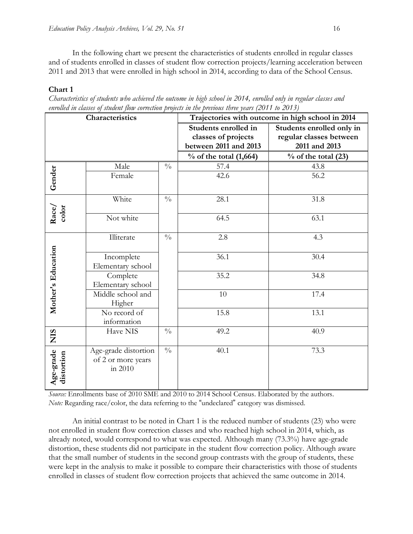In the following chart we present the characteristics of students enrolled in regular classes and of students enrolled in classes of student flow correction projects/learning acceleration between 2011 and 2013 that were enrolled in high school in 2014, according to data of the School Census.

#### **Chart 1**

| Characteristics of students who achieved the outcome in high school in 2014, enrolled only in regular classes and |  |  |
|-------------------------------------------------------------------------------------------------------------------|--|--|
| enrolled in classes of student flow correction projects in the previous three years (2011 to 2013)                |  |  |

| Characteristics         |                      | Trajectories with outcome in high school in 2014 |                           |                         |  |
|-------------------------|----------------------|--------------------------------------------------|---------------------------|-------------------------|--|
|                         |                      | Students enrolled in                             | Students enrolled only in |                         |  |
|                         |                      |                                                  | classes of projects       | regular classes between |  |
|                         |                      |                                                  | between 2011 and 2013     | 2011 and 2013           |  |
|                         |                      |                                                  | $\%$ of the total (1,664) | $%$ of the total (23)   |  |
|                         | Male                 | $\frac{0}{0}$                                    | 57.4                      | 43.8                    |  |
| Gender                  | Female               |                                                  | 42.6                      | 56.2                    |  |
|                         |                      |                                                  |                           |                         |  |
|                         | White                | $\frac{0}{0}$                                    | 28.1                      | 31.8                    |  |
| color                   |                      |                                                  |                           |                         |  |
| Race/                   | Not white            |                                                  | 64.5                      | 63.1                    |  |
|                         | Illiterate           | $\frac{0}{0}$                                    | 2.8                       | 4.3                     |  |
|                         |                      |                                                  |                           |                         |  |
|                         | Incomplete           |                                                  | 36.1                      | 30.4                    |  |
|                         | Elementary school    |                                                  |                           |                         |  |
|                         | Complete             |                                                  | 35.2                      | 34.8                    |  |
|                         | Elementary school    |                                                  |                           |                         |  |
| Mother's Education      | Middle school and    |                                                  | 10                        | 17.4                    |  |
|                         | Higher               |                                                  |                           |                         |  |
|                         | No record of         |                                                  | 15.8                      | 13.1                    |  |
|                         | information          |                                                  |                           |                         |  |
| <b>SIN</b>              | Have NIS             | $\frac{0}{0}$                                    | 49.2                      | 40.9                    |  |
|                         | Age-grade distortion | $\frac{0}{0}$                                    | 40.1                      | 73.3                    |  |
|                         | of 2 or more years   |                                                  |                           |                         |  |
|                         | in 2010              |                                                  |                           |                         |  |
| Age-grade<br>distortion |                      |                                                  |                           |                         |  |
|                         |                      |                                                  |                           |                         |  |

*Source:* Enrollments base of 2010 SME and 2010 to 2014 School Census. Elaborated by the authors. *Note:* Regarding race/color, the data referring to the "undeclared" category was dismissed.

An initial contrast to be noted in Chart 1 is the reduced number of students (23) who were not enrolled in student flow correction classes and who reached high school in 2014, which, as already noted, would correspond to what was expected. Although many (73.3%) have age-grade distortion, these students did not participate in the student flow correction policy. Although aware that the small number of students in the second group contrasts with the group of students, these were kept in the analysis to make it possible to compare their characteristics with those of students enrolled in classes of student flow correction projects that achieved the same outcome in 2014.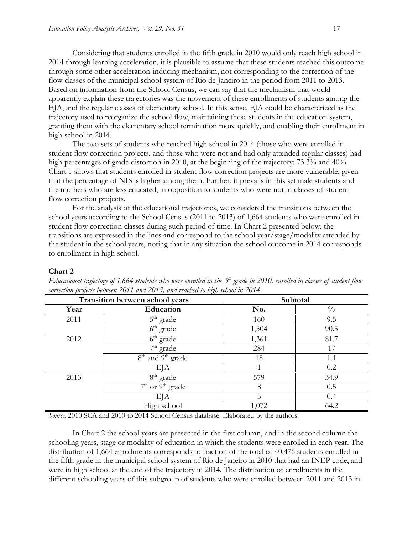Considering that students enrolled in the fifth grade in 2010 would only reach high school in 2014 through learning acceleration, it is plausible to assume that these students reached this outcome through some other acceleration-inducing mechanism, not corresponding to the correction of the flow classes of the municipal school system of Rio de Janeiro in the period from 2011 to 2013. Based on information from the School Census, we can say that the mechanism that would apparently explain these trajectories was the movement of these enrollments of students among the EJA, and the regular classes of elementary school. In this sense, EJA could be characterized as the trajectory used to reorganize the school flow, maintaining these students in the education system, granting them with the elementary school termination more quickly, and enabling their enrollment in high school in 2014.

The two sets of students who reached high school in 2014 (those who were enrolled in student flow correction projects, and those who were not and had only attended regular classes) had high percentages of grade distortion in 2010, at the beginning of the trajectory: 73.3% and 40%. Chart 1 shows that students enrolled in student flow correction projects are more vulnerable, given that the percentage of NIS is higher among them. Further, it prevails in this set male students and the mothers who are less educated, in opposition to students who were not in classes of student flow correction projects.

For the analysis of the educational trajectories, we considered the transitions between the school years according to the School Census (2011 to 2013) of 1,664 students who were enrolled in student flow correction classes during such period of time. In Chart 2 presented below, the transitions are expressed in the lines and correspond to the school year/stage/modality attended by the student in the school years, noting that in any situation the school outcome in 2014 corresponds to enrollment in high school.

#### **Chart 2**

| Transition between school years |                                           | Subtotal |               |  |
|---------------------------------|-------------------------------------------|----------|---------------|--|
| Year                            | Education                                 | No.      | $\frac{0}{0}$ |  |
| 2011                            | $5th$ grade                               | 160      | 9.5           |  |
|                                 | $6th$ grade                               | 1,504    | 90.5          |  |
| 2012                            | 6 <sup>th</sup><br>grade                  | 1,361    | 81.7          |  |
|                                 | $7th$ grade                               | 284      | 17            |  |
|                                 | 8 <sup>th</sup> and 9 <sup>th</sup> grade | 18       | 1.1           |  |
|                                 | EЈА                                       |          | 0.2           |  |
| 2013                            | 8 <sup>th</sup><br><sup>1</sup> grade     | 579      | 34.9          |  |
|                                 | $\overline{7^{th}$ or $9^{th}$ grade      | 8        | 0.5           |  |
|                                 | EJA                                       | 5        | 0.4           |  |
|                                 | High school                               | 1,072    | 64.2          |  |

*Educational trajectory of 1,664 students who were enrolled in the 5 th grade in 2010, enrolled in classes of student flow correction projects between 2011 and 2013, and reached to high school in 2014*

*Source:* 2010 SCA and 2010 to 2014 School Census database. Elaborated by the authors.

In Chart 2 the school years are presented in the first column, and in the second column the schooling years, stage or modality of education in which the students were enrolled in each year. The distribution of 1,664 enrollments corresponds to fraction of the total of 40,476 students enrolled in the fifth grade in the municipal school system of Rio de Janeiro in 2010 that had an INEP code, and were in high school at the end of the trajectory in 2014. The distribution of enrollments in the different schooling years of this subgroup of students who were enrolled between 2011 and 2013 in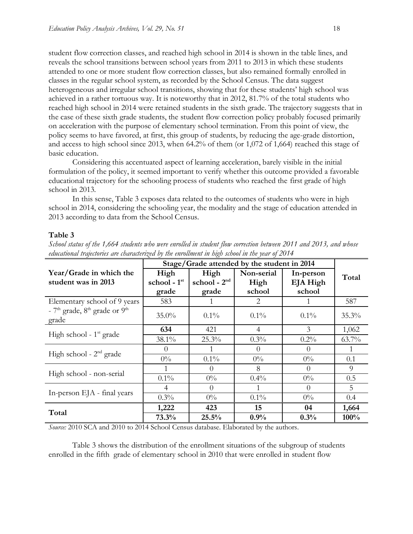student flow correction classes, and reached high school in 2014 is shown in the table lines, and reveals the school transitions between school years from 2011 to 2013 in which these students attended to one or more student flow correction classes, but also remained formally enrolled in classes in the regular school system, as recorded by the School Census. The data suggest heterogeneous and irregular school transitions, showing that for these students' high school was achieved in a rather tortuous way. It is noteworthy that in 2012, 81.7% of the total students who reached high school in 2014 were retained students in the sixth grade. The trajectory suggests that in the case of these sixth grade students, the student flow correction policy probably focused primarily on acceleration with the purpose of elementary school termination. From this point of view, the policy seems to have favored, at first, this group of students, by reducing the age-grade distortion, and access to high school since 2013, when 64.2% of them (or 1,072 of 1,664) reached this stage of basic education.

Considering this accentuated aspect of learning acceleration, barely visible in the initial formulation of the policy, it seemed important to verify whether this outcome provided a favorable educational trajectory for the schooling process of students who reached the first grade of high school in 2013.

In this sense, Table 3 exposes data related to the outcomes of students who were in high school in 2014, considering the schooling year, the modality and the stage of education attended in 2013 according to data from the School Census.

#### **Table 3**

|                                                | Stage/Grade attended by the student in 2014 |                                 |                              |                                 |          |
|------------------------------------------------|---------------------------------------------|---------------------------------|------------------------------|---------------------------------|----------|
| Year/Grade in which the<br>student was in 2013 | High<br>school - 1st<br>grade               | High<br>school - $2nd$<br>grade | Non-serial<br>High<br>school | In-person<br>EJA High<br>school | Total    |
| Elementary school of 9 years                   | 583                                         |                                 | 2                            |                                 | 587      |
| - $7th$ grade, $8th$ grade or $9th$<br>grade   | 35.0%                                       | $0.1\%$                         | $0.1\%$                      | $0.1\%$                         | 35.3%    |
|                                                | 634                                         | 421                             | 4                            | 3                               | 1,062    |
| High school - $1st$ grade                      | 38.1%                                       | $25.3\%$                        | $0.3\%$                      | $0.2\%$                         | $63.7\%$ |
| High school - $2nd$ grade                      | $\left( \right)$                            | 1                               | $\Omega$                     | $\theta$                        | 1        |
|                                                | $0\%$                                       | $0.1\%$                         | $0\%$                        | $0\%$                           | 0.1      |
| High school - non-serial                       |                                             | $\theta$                        | 8                            | $\Omega$                        | 9        |
|                                                | $0.1\%$                                     | $0\%$                           | $0.4\%$                      | $0\%$                           | 0.5      |
|                                                | 4                                           | $\Omega$                        |                              | $\Omega$                        | 5        |
| In-person EJA - final years                    | $0.3\%$                                     | $0\%$                           | $0.1\%$                      | $0\%$                           | 0.4      |
| Total                                          | 1,222                                       | 423                             | 15                           | 04                              | 1,664    |
|                                                | 73.3%                                       | 25.5%                           | 0.9%                         | 0.3%                            | 100%     |

*School status of the 1,664 students who were enrolled in student flow correction between 2011 and 2013, and whose educational trajectories are characterized by the enrollment in high school in the year of 2014*

*Source:* 2010 SCA and 2010 to 2014 School Census database. Elaborated by the authors.

Table 3 shows the distribution of the enrollment situations of the subgroup of students enrolled in the fifth grade of elementary school in 2010 that were enrolled in student flow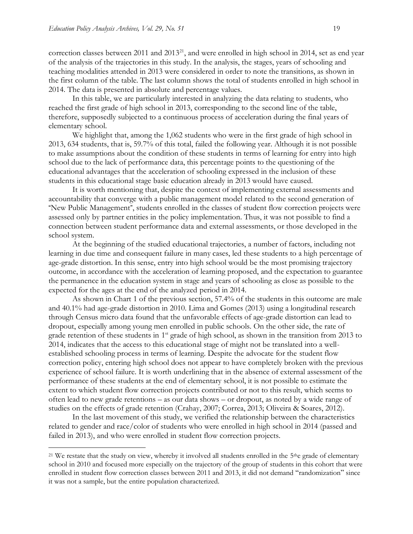correction classes between 2011 and  $2013^{21}$ , and were enrolled in high school in 2014, set as end year of the analysis of the trajectories in this study. In the analysis, the stages, years of schooling and teaching modalities attended in 2013 were considered in order to note the transitions, as shown in the first column of the table. The last column shows the total of students enrolled in high school in 2014. The data is presented in absolute and percentage values.

In this table, we are particularly interested in analyzing the data relating to students, who reached the first grade of high school in 2013, corresponding to the second line of the table, therefore, supposedly subjected to a continuous process of acceleration during the final years of elementary school.

We highlight that, among the 1,062 students who were in the first grade of high school in 2013, 634 students, that is, 59.7% of this total, failed the following year. Although it is not possible to make assumptions about the condition of these students in terms of learning for entry into high school due to the lack of performance data, this percentage points to the questioning of the educational advantages that the acceleration of schooling expressed in the inclusion of these students in this educational stage basic education already in 2013 would have caused.

It is worth mentioning that, despite the context of implementing external assessments and accountability that converge with a public management model related to the second generation of "New Public Management", students enrolled in the classes of student flow correction projects were assessed only by partner entities in the policy implementation. Thus, it was not possible to find a connection between student performance data and external assessments, or those developed in the school system.

At the beginning of the studied educational trajectories, a number of factors, including not learning in due time and consequent failure in many cases, led these students to a high percentage of age-grade distortion. In this sense, entry into high school would be the most promising trajectory outcome, in accordance with the acceleration of learning proposed, and the expectation to guarantee the permanence in the education system in stage and years of schooling as close as possible to the expected for the ages at the end of the analyzed period in 2014.

As shown in Chart 1 of the previous section, 57.4% of the students in this outcome are male and 40.1% had age-grade distortion in 2010. Lima and Gomes (2013) using a longitudinal research through Census micro data found that the unfavorable effects of age-grade distortion can lead to dropout, especially among young men enrolled in public schools. On the other side, the rate of grade retention of these students in 1<sup>st</sup> grade of high school, as shown in the transition from 2013 to 2014, indicates that the access to this educational stage of might not be translated into a wellestablished schooling process in terms of learning. Despite the advocate for the student flow correction policy, entering high school does not appear to have completely broken with the previous experience of school failure. It is worth underlining that in the absence of external assessment of the performance of these students at the end of elementary school, it is not possible to estimate the extent to which student flow correction projects contributed or not to this result, which seems to often lead to new grade retentions – as our data shows – or dropout, as noted by a wide range of studies on the effects of grade retention (Crahay, 2007; Correa, 2013; Oliveira & Soares, 2012).

In the last movement of this study, we verified the relationship between the characteristics related to gender and race/color of students who were enrolled in high school in 2014 (passed and failed in 2013), and who were enrolled in student flow correction projects.

<sup>&</sup>lt;sup>21</sup> We restate that the study on view, whereby it involved all students enrolled in the  $5<sup>th</sup>e$  grade of elementary school in 2010 and focused more especially on the trajectory of the group of students in this cohort that were enrolled in student flow correction classes between 2011 and 2013, it did not demand "randomization" since it was not a sample, but the entire population characterized.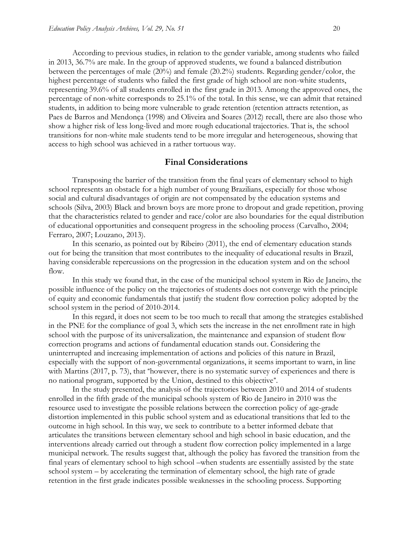According to previous studies, in relation to the gender variable, among students who failed in 2013, 36.7% are male. In the group of approved students, we found a balanced distribution between the percentages of male (20%) and female (20.2%) students. Regarding gender/color, the highest percentage of students who failed the first grade of high school are non-white students, representing 39.6% of all students enrolled in the first grade in 2013. Among the approved ones, the percentage of non-white corresponds to 25.1% of the total. In this sense, we can admit that retained students, in addition to being more vulnerable to grade retention (retention attracts retention, as Paes de Barros and Mendonça (1998) and Oliveira and Soares (2012) recall, there are also those who show a higher risk of less long-lived and more rough educational trajectories. That is, the school transitions for non-white male students tend to be more irregular and heterogeneous, showing that access to high school was achieved in a rather tortuous way.

#### **Final Considerations**

Transposing the barrier of the transition from the final years of elementary school to high school represents an obstacle for a high number of young Brazilians, especially for those whose social and cultural disadvantages of origin are not compensated by the education systems and schools (Silva, 2003) Black and brown boys are more prone to dropout and grade repetition, proving that the characteristics related to gender and race/color are also boundaries for the equal distribution of educational opportunities and consequent progress in the schooling process (Carvalho, 2004; Ferraro, 2007; Louzano, 2013).

In this scenario, as pointed out by Ribeiro (2011), the end of elementary education stands out for being the transition that most contributes to the inequality of educational results in Brazil, having considerable repercussions on the progression in the education system and on the school flow.

In this study we found that, in the case of the municipal school system in Rio de Janeiro, the possible influence of the policy on the trajectories of students does not converge with the principle of equity and economic fundamentals that justify the student flow correction policy adopted by the school system in the period of 2010-2014.

In this regard, it does not seem to be too much to recall that among the strategies established in the PNE for the compliance of goal 3, which sets the increase in the net enrollment rate in high school with the purpose of its universalization, the maintenance and expansion of student flow correction programs and actions of fundamental education stands out. Considering the uninterrupted and increasing implementation of actions and policies of this nature in Brazil, especially with the support of non-governmental organizations, it seems important to warn, in line with Martins (2017, p. 73), that "however, there is no systematic survey of experiences and there is no national program, supported by the Union, destined to this objective".

In the study presented, the analysis of the trajectories between 2010 and 2014 of students enrolled in the fifth grade of the municipal schools system of Rio de Janeiro in 2010 was the resource used to investigate the possible relations between the correction policy of age-grade distortion implemented in this public school system and as educational transitions that led to the outcome in high school. In this way, we seek to contribute to a better informed debate that articulates the transitions between elementary school and high school in basic education, and the interventions already carried out through a student flow correction policy implemented in a large municipal network. The results suggest that, although the policy has favored the transition from the final years of elementary school to high school –when students are essentially assisted by the state school system – by accelerating the termination of elementary school, the high rate of grade retention in the first grade indicates possible weaknesses in the schooling process. Supporting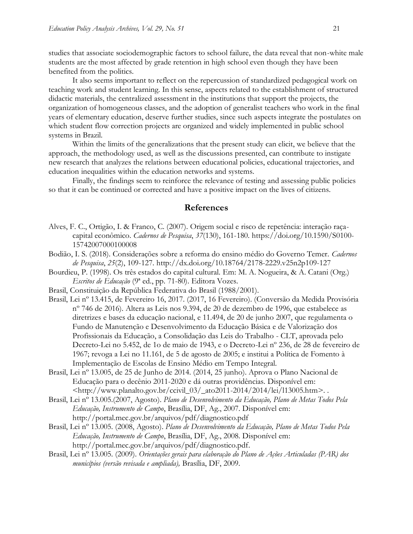studies that associate sociodemographic factors to school failure, the data reveal that non-white male students are the most affected by grade retention in high school even though they have been benefited from the politics.

It also seems important to reflect on the repercussion of standardized pedagogical work on teaching work and student learning. In this sense, aspects related to the establishment of structured didactic materials, the centralized assessment in the institutions that support the projects, the organization of homogeneous classes, and the adoption of generalist teachers who work in the final years of elementary education, deserve further studies, since such aspects integrate the postulates on which student flow correction projects are organized and widely implemented in public school systems in Brazil.

Within the limits of the generalizations that the present study can elicit, we believe that the approach, the methodology used, as well as the discussions presented, can contribute to instigate new research that analyzes the relations between educational policies, educational trajectories, and education inequalities within the education networks and systems.

Finally, the findings seem to reinforce the relevance of testing and assessing public policies so that it can be continued or corrected and have a positive impact on the lives of citizens.

## **References**

- Alves, F. C., Ortigão, I. & Franco, C. (2007). Origem social e risco de repetência: interação raçacapital econômico. *Cadernos de Pesquisa*, *37*(130), 161-180. [https://doi.org/10.1590/S0100-](https://doi.org/10.1590/S0100-15742007000100008) [15742007000100008](https://doi.org/10.1590/S0100-15742007000100008)
- Bodião, I. S. (2018). Considerações sobre a reforma do ensino médio do Governo Temer. *Cadernos de Pesquisa*, *25*(2), 109-127.<http://dx.doi.org/10.18764/2178-2229.v25n2p109-127>
- Bourdieu, P. (1998). Os três estados do capital cultural. Em: M. A. Nogueira, & A. Catani (Org.) *Escritos de Educação* (9ª ed., pp. 71-80). Editora Vozes.
- Brasil, Constituição da República Federativa do Brasil (1988/2001).
- Brasil, Lei nº 13.415, de Fevereiro 16, 2017. (2017, 16 Fevereiro). (Conversão da Medida Provisória nº 746 de 2016). Altera as Leis nos 9.394, de 20 de dezembro de 1996, que estabelece as diretrizes e bases da educação nacional, e 11.494, de 20 de junho 2007, que regulamenta o Fundo de Manutenção e Desenvolvimento da Educação Básica e de Valorização dos Profissionais da Educação, a Consolidação das Leis do Trabalho - CLT, aprovada pelo Decreto-Lei no 5.452, de 1o de maio de 1943, e o Decreto-Lei nº 236, de 28 de fevereiro de 1967; revoga a Lei no 11.161, de 5 de agosto de 2005; e institui a Política de Fomento à Implementação de Escolas de Ensino Médio em Tempo Integral.
- Brasil, Lei nº 13.005, de 25 de Junho de 2014. (2014, 25 junho). Aprova o Plano Nacional de Educação para o decênio 2011-2020 e dá outras providências. Disponível em: [<http://www.planalto.gov.br/ccivil\\_03/\\_ato2011-2014/2014/lei/l13005.htm>](http://www.planalto.gov.br/ccivil_03/_ato2011-2014/2014/lei/l13005.htm). .
- Brasil, Lei nº 13.005.(2007, Agosto). *Plano de Desenvolvimento da Educação, Plano de Metas Todos Pela Educação, Instrumento de Campo*, Brasília, DF, Ag., 2007. Disponível em: <http://portal.mec.gov.br/arquivos/pdf/diagnostico.pdf>
- Brasil, Lei nº 13.005. (2008, Agosto). *Plano de Desenvolvimento da Educação, Plano de Metas Todos Pela Educação, Instrumento de Campo*, Brasília, DF, Ag., 2008. Disponível em: [http://portal.mec.gov.br/arquivos/pdf/diagnostico.pdf.](http://portal.mec.gov.br/arquivos/pdf/diagnostico.pdf)
- Brasil, Lei nº 13.005. (2009). *Orientações gerais para elaboração do Plano de Ações Articuladas (PAR) dos municípios (versão revisada e ampliada),* Brasília, DF, 2009.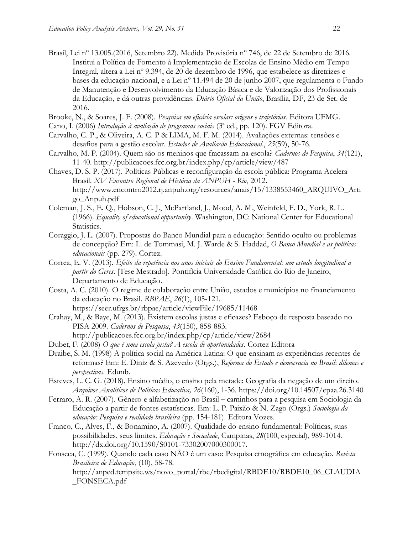Brasil, Lei nº 13.005.(2016, Setembro 22). Medida Provisória nº 746, de 22 de Setembro de 2016. Institui a Política de Fomento à Implementação de Escolas de Ensino Médio em Tempo Integral, altera a Lei nº 9.394, de 20 de dezembro de 1996, que estabelece as diretrizes e bases da educação nacional, e a Lei nº 11.494 de 20 de junho 2007, que regulamenta o Fundo de Manutenção e Desenvolvimento da Educação Básica e de Valorização dos Profissionais da Educação, e dá outras providências. *Diário Oficial da União*, Brasília, DF, 23 de Set. de 2016.

Brooke, N., & Soares, J. F. (2008). *Pesquisa em eficácia escolar: origens e trajetórias.* Editora UFMG.

- Cano, I. (2006) *Introdução à avaliação de programas sociais* (3ª ed., pp. 120). FGV Editora.
- Carvalho, C. P., & Oliveira, A. C. P & LIMA, M. F. M. (2014). Avaliações externas: tensões e desafios para a gestão escolar. *Estudos de Avaliação Educacional*., *25*(59), 50-76.
- Carvalho, M. P. (2004). Quem são os meninos que fracassam na escola? *Cadernos de Pesquisa*, *34*(121), 11-40.<http://publicacoes.fcc.org.br/index.php/cp/article/view/487>
- Chaves, D. S. P. (2017). Políticas Públicas e reconfiguração da escola pública: Programa Acelera Brasil. *XV Encontro Regional de História da ANPUH - Rio*, 2012. [http://www.encontro2012.rj.anpuh.org/resources/anais/15/1338553460\\_ARQUIVO\\_Arti](http://www.encontro2012.rj.anpuh.org/resources/anais/15/1338553460_ARQUIVO_Artigo_Anpuh.pdf) [go\\_Anpuh.pdf](http://www.encontro2012.rj.anpuh.org/resources/anais/15/1338553460_ARQUIVO_Artigo_Anpuh.pdf)
- Coleman, J. S., E. Q., Hobson, C. J., McPartland, J., Mood, A. M., Weinfeld, F. D., York, R. L. (1966). *Equality of educational opportunity*. Washington, DC: National Center for Educational Statistics.
- Coraggio, J. L. (2007). Propostas do Banco Mundial para a educação: Sentido oculto ou problemas de concepção? Em: L. de Tommasi, M. J. Warde & S. Haddad, *O Banco Mundial e as políticas educacionais* (pp. 279). Cortez.
- Correa, E. V. (2013). *Efeito da repetência nos anos iniciais do Ensino Fundamental: um estudo longitudinal a partir do Geres*. [Tese Mestrado]. Pontifícia Universidade Católica do Rio de Janeiro, Departamento de Educação.
- Costa, A. C. (2010). O regime de colaboração entre União, estados e municípios no financiamento da educação no Brasil. *RBPAE*, *26*(1), 105-121. <https://seer.ufrgs.br/rbpae/article/viewFile/19685/11468>
- Crahay, M., & Baye, M. (2013). Existem escolas justas e eficazes? Esboço de resposta baseado no PISA 2009. *Cadernos de Pesquisa*, *43*(150), 858-883. <http://publicacoes.fcc.org.br/index.php/cp/article/view/2684>
- Dubet, F. (2008) *O que é uma escola justa? A escola de oportunidades*. Cortez Editora
- Draibe, S. M. (1998) A política social na América Latina: O que ensinam as experiências recentes de reformas? Em: E. Diniz & S. Azevedo (Orgs.), *Reforma do Estado e democracia no Brasil*: *dilemas e perspectivas*. Edunb.
- Esteves, L. C. G. (2018). Ensino médio, o ensino pela metade: Geografia da negação de um direito. *Arquivos Analíticos de Políticas Educativa, 26*(160), 1-36.<https://doi.org/10.14507/epaa.26.3140>
- Ferraro, A. R. (2007). Gênero e alfabetização no Brasil caminhos para a pesquisa em Sociologia da Educação a partir de fontes estatísticas. Em: L. P. Paixão & N. Zago (Orgs.) *Sociologia da educação: Pesquisa e realidade brasileira* (pp. 154-181). Editora Vozes.
- Franco, C., Alves, F., & Bonamino, A. (2007). Qualidade do ensino fundamental: Políticas, suas possibilidades, seus limites. *Educação e Sociedade*, Campinas, *28*(100, especial), 989-1014. [http://dx.doi.org/10.1590/S0101-73302007000300017.](http://dx.doi.org/10.1590/S0101-73302007000300017)
- Fonseca, C. (1999). Quando cada caso NÃO é um caso: Pesquisa etnográfica em educação. *Revista Brasileira de Educação*, (10), 58-78. [http://anped.tempsite.ws/novo\\_portal/rbe/rbedigital/RBDE10/RBDE10\\_06\\_CLAUDIA](http://anped.tempsite.ws/novo_portal/rbe/rbedigital/RBDE10/RBDE10_06_CLAUDIA_FONSECA.pdf) [\\_FONSECA.pdf](http://anped.tempsite.ws/novo_portal/rbe/rbedigital/RBDE10/RBDE10_06_CLAUDIA_FONSECA.pdf)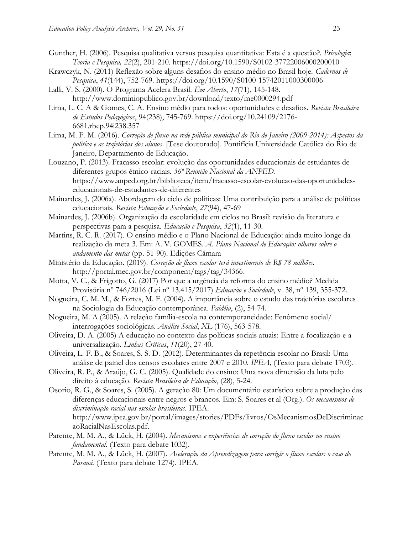- Gunther, H. (2006). Pesquisa qualitativa versus pesquisa quantitativa: Esta é a questão?. *Psicologia*: *Teoria e Pesquisa, 22*(2), 201-210.<https://doi.org/10.1590/S0102-37722006000200010>
- Krawczyk, N. (2011) Reflexão sobre alguns desafios do ensino médio no Brasil hoje. *Cadernos de Pesquisa*, *41*(144), 752-769.<https://doi.org/10.1590/S0100-15742011000300006>
- Lalli, V. S. (2000). O Programa Acelera Brasil. *Em Aberto*, *17*(71), 145-148. <http://www.dominiopublico.gov.br/download/texto/me0000294.pdf>
- Lima, L. C. A & Gomes, C. A. Ensino médio para todos: oportunidades e desafios. *Revista Brasileira de Estudos Pedagógicos*, 94(238), 745-769. [https://doi.org/10.24109/2176-](https://doi.org/10.24109/2176-6681.rbep.94i238.357) [6681.rbep.94i238.357](https://doi.org/10.24109/2176-6681.rbep.94i238.357)
- Lima, M. F. M. (2016). *Correção de fluxo na rede pública municipal do Rio de Janeiro (2009-2014): Aspectos da política e as trajetórias dos alunos*. [Tese doutorado]. Pontifícia Universidade Católica do Rio de Janeiro, Departamento de Educação.
- Louzano, P. (2013). Fracasso escolar: evolução das oportunidades educacionais de estudantes de diferentes grupos étnico-raciais. *36ª Reunião Nacional da ANPED.* [https://www.anped.org.br/biblioteca/item/fracasso-escolar-evolucao-das-oportunidades](https://www.anped.org.br/biblioteca/item/fracasso-escolar-evolucao-das-oportunidades-educacionais-de-estudantes-de-diferentes)[educacionais-de-estudantes-de-diferentes](https://www.anped.org.br/biblioteca/item/fracasso-escolar-evolucao-das-oportunidades-educacionais-de-estudantes-de-diferentes)
- Mainardes, J. (2006a). Abordagem do ciclo de políticas: Uma contribuição para a análise de políticas educacionais. *Revista Educação e Sociedade*, *27*(94), 47-69
- Mainardes, J. (2006b). Organização da escolaridade em ciclos no Brasil: revisão da literatura e perspectivas para a pesquisa. *Educação e Pesquisa*, *32*(1), 11-30.
- Martins, R. C. R. (2017). O ensino médio e o Plano Nacional de Educação: ainda muito longe da realização da meta 3. Em: A. V. GOMES*. A. Plano Nacional de Educação: olhares sobre o andamento das metas* (pp. 51-90). Edições Câmara
- Ministério da Educação. (2019). *Correção de fluxo escolar terá investimento de R\$ 78 milhões.*  [http://portal.mec.gov.br/component/tags/tag/34366.](http://portal.mec.gov.br/component/tags/tag/34366)
- Motta, V. C., & Frigotto, G. (2017) Por que a urgência da reforma do ensino médio? Medida Provisória nº 746/2016 (Lei nº 13.415/2017) *Educação e Sociedade*, v. 38, nº 139, 355-372.
- Nogueira, C. M. M., & Fortes, M. F. (2004). A importância sobre o estudo das trajetórias escolares na Sociologia da Educação contemporânea. *Paidéia*, (2), 54-74.
- Nogueira, M. A (2005). A relação família-escola na contemporaneidade: Fenômeno social/ interrogações sociológicas. *Análise Social*, *XL* (176), 563-578.
- Oliveira, D. A. (2005) A educação no contexto das políticas sociais atuais: Entre a focalização e a universalização. *Linhas Críticas*, *11*(20), 27-40.
- Oliveira, L. F. B., & Soares, S. S. D. (2012). Determinantes da repetência escolar no Brasil: Uma análise de painel dos censos escolares entre 2007 e 2010. *IPEA,* (Texto para debate 1703).
- Oliveira, R. P., & Araújo, G. C. (2005). Qualidade do ensino: Uma nova dimensão da luta pelo direito à educação. *Revista Brasileira de Educação*, (28), 5-24.
- Osorio, R. G., & Soares, S. (2005). A geração 80: Um documentário estatístico sobre a produção das diferenças educacionais entre negros e brancos. Em: S. Soares et al (Org.). *Os mecanismos de discriminação racial nas escolas brasileiras.* IPEA. [http://www.ipea.gov.br/portal/images/stories/PDFs/livros/OsMecanismosDeDiscriminac](http://www.ipea.gov.br/portal/images/stories/PDFs/livros/OsMecanismosDeDiscriminacaoRacialNasEscolas.pdf) [aoRacialNasEscolas.pdf.](http://www.ipea.gov.br/portal/images/stories/PDFs/livros/OsMecanismosDeDiscriminacaoRacialNasEscolas.pdf)
- Parente, M. M. A., & Lück, H. (2004). *Mecanismos e experiências de correção do fluxo escolar no ensino fundamental*. (Texto para debate 1032).
- Parente, M. M. A., & Lück, H. (2007). *Aceleração da Aprendizagem para corrigir o fluxo escolar: o caso do Paraná.* (Texto para debate 1274). IPEA.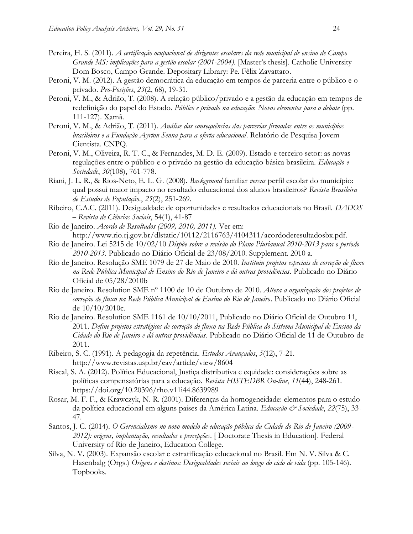- Pereira, H. S. (2011). *A certificação ocupacional de dirigentes escolares da rede municipal de ensino de Campo Grande MS: implicações para a gestão escolar (2001-2004).* [Master's thesis]. Catholic University Dom Bosco, Campo Grande. Depositary Library: Pe. Fêlix Zavattaro.
- Peroni, V. M. (2012). A gestão democrática da educação em tempos de parceria entre o público e o privado*. Pro-Posições*, *23*(2, 68), 19-31.
- Peroni, V. M., & Adrião, T. (2008). A relação público/privado e a gestão da educação em tempos de redefinição do papel do Estado. *Público e privado na educação*: *Novos elementos para o debate* (pp. 111-127). Xamã.
- Peroni, V. M., & Adrião, T. (2011). *Análise das consequências das parcerias firmadas entre os municípios brasileiros e a Fundação Ayrton Senna para a oferta educacional*. Relatório de Pesquisa Jovem Cientista. CNPQ.
- Peroni, V. M., Oliveira, R. T. C., & Fernandes, M. D. E. (2009). Estado e terceiro setor: as novas regulações entre o público e o privado na gestão da educação básica brasileira. *Educação e Sociedade*, *30*(108), 761-778.
- Riani, J. L. R., & Rios-Neto, E. L. G. (2008). *Background* familiar *versus* perfil escolar do município: qual possui maior impacto no resultado educacional dos alunos brasileiros? *Revista Brasileira de Estudos de População.*, *25*(2), 251-269.
- Ribeiro, C.A.C. (2011). Desigualdade de oportunidades e resultados educacionais no Brasil. *DADOS*  – *Revista de Ciências Sociais*, 54(1), 41-87
- Rio de Janeiro. *Acordo de Resultados (2009, 2010, 2011).* Ver em: [http://www.rio.rj.gov.br/dlstatic/10112/2116763/4104311/acordoderesultadosbx.pdf.](http://www.rio.rj.gov.br/dlstatic/10112/2116763/4104311/acordoderesultadosbx.pdf)
- Rio de Janeiro. Lei 5215 de 10/02/10 *Dispõe sobre a revisão do Plano Plurianual 2010-2013 para o período 2010-2013*. Publicado no Diário Oficial de 23/08/2010. Supplement. 2010 a.
- Rio de Janeiro. Resolução SME 1079 de 27 de Maio de 2010. *Instituiu projetos especiais de correção de fluxo na Rede Pública Municipal de Ensino do Rio de Janeiro e dá outras providências*. Publicado no Diário Oficial de 05/28/2010b
- Rio de Janeiro. Resolution SME nº 1100 de 10 de Outubro de 2010. *Altera a organização dos projetos de correção de fluxo na Rede Pública Municipal de Ensino do Rio de Janeiro*. Publicado no Diário Oficial de 10/10/2010c.
- Rio de Janeiro. Resolution SME 1161 de 10/10/2011, Publicado no Diário Oficial de Outubro 11, 2011. *Define projetos estratégicos de correção de fluxo na Rede Pública do Sistema Municipal de Ensino da Cidade do Rio de Janeiro e dá outras providências.* Publicado no Diário Oficial de 11 de Outubro de 2011.
- Ribeiro, S. C. (1991). A pedagogia da repetência. *Estudos Avançados*, *5*(12), 7-21. <http://www.revistas.usp.br/eav/article/view/8604>
- Riscal, S. A. (2012). Política Educacional, Justiça distributiva e equidade: considerações sobre as políticas compensatórias para a educação*. Revista HISTEDBR On-line*, *11*(44), 248-261. <https://doi.org/10.20396/rho.v11i44.8639989>
- Rosar, M. F. F., & Krawczyk, N. R. (2001). Diferenças da homogeneidade: elementos para o estudo da política educacional em alguns países da América Latina. *Educação & Sociedade*, 22(75), 33-47.
- Santos, J. C. (2014). *O Gerencialismo no novo modelo de educação pública da Cidade do Rio de Janeiro (2009- 2012): origens, implantação, resultados e percepções*. [ Doctorate Thesis in Education]. Federal University of Rio de Janeiro, Education College.
- Silva, N. V. (2003). Expansão escolar e estratificação educacional no Brasil. Em N. V. Silva & C. Hasenbalg (Orgs.) *Origens e destinos: Desigualdades sociais ao longo do ciclo de vida* (pp. 105-146). Topbooks.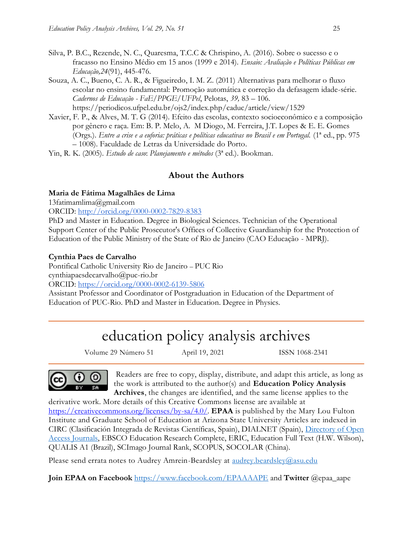- Silva, P. B.C., Rezende, N. C., Quaresma, T.C.C & Chrispino, A. (2016). Sobre o sucesso e o fracasso no Ensino Médio em 15 anos (1999 e 2014). *Ensaio: Avaliação e Políticas Públicas em Educação,24*(91), 445-476.
- Souza, A. C., Bueno, C. A. R., & Figueiredo, I. M. Z. (2011) Alternativas para melhorar o fluxo escolar no ensino fundamental: Promoção automática e correção da defasagem idade-série. *Cadernos de Educação - FaE/PPGE/UFPel*, Pelotas, *39,* 83 – 106. <https://periodicos.ufpel.edu.br/ojs2/index.php/caduc/article/view/1529>
- Xavier, F. P., & Alves, M. T. G (2014). Efeito das escolas, contexto socioeconômico e a composição por gênero e raça. Em: B. P. Melo, A. M Diogo, M. Ferreira, J.T. Lopes & E. E. Gomes (Orgs.). *Entre a crise e a euforia: práticas e políticas educativas no Brasil e em Portugal.* (1ª ed., pp. 975 – 1008). Faculdade de Letras da Universidade do Porto.

Yin, R. K. (2005). *Estudo de caso*: *Planejamento e métodos* (3ª ed.). Bookman.

## **About the Authors**

#### **Maria de Fátima Magalhães de Lima**

13fatimamlima@gmail.com

ORCID: <http://orcid.org/0000-0002-7829-8383>

PhD and Master in Education. Degree in Biological Sciences. Technician of the Operational Support Center of the Public Prosecutor's Offices of Collective Guardianship for the Protection of Education of the Public Ministry of the State of Rio de Janeiro (CAO Educação - MPRJ).

#### **Cynthia Paes de Carvalho**

Pontifical Catholic University Rio de Janeiro – PUC Rio cynthiapaesdecarvalho@puc-rio.br

ORCID:<https://orcid.org/0000-0002-6139-5806>

Assistant Professor and Coordinator of Postgraduation in Education of the Department of Education of PUC-Rio. PhD and Master in Education. Degree in Physics.

## education policy analysis archives

Volume 29 Número 51 April 19, 2021 ISSN 1068-2341

0

Readers are free to copy, display, distribute, and adapt this article, as long as the work is attributed to the author(s) and **Education Policy Analysis Archives**, the changes are identified, and the same license applies to the

derivative work. More details of this Creative Commons license are available at [https://creativecommons.org/licenses/by-sa/4.0/.](https://creativecommons.org/licenses/by-sa/4.0/) **EPAA** is published by the Mary Lou Fulton Institute and Graduate School of Education at Arizona State University Articles are indexed in CIRC (Clasificación Integrada de Revistas Científicas, Spain), DIALNET (Spain), [Directory of Open](http://www.doaj.org/)  [Access Journals,](http://www.doaj.org/) EBSCO Education Research Complete, ERIC, Education Full Text (H.W. Wilson), QUALIS A1 (Brazil), SCImago Journal Rank, SCOPUS, SOCOLAR (China).

Please send errata notes to Audrey Amrein-Beardsley at [audrey.beardsley@asu.edu](mailto:audrey.beardsley@asu.edu)

**Join EPAA on Facebook** <https://www.facebook.com/EPAAAAPE> and **Twitter** @epaa\_aape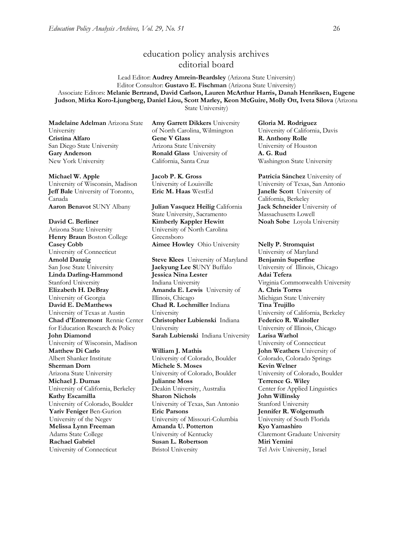## education policy analysis archives editorial board

Lead Editor: **Audrey Amrein-Beardsley** (Arizona State University) Editor Consultor: **Gustavo E. Fischman** (Arizona State University) Associate Editors: **Melanie Bertrand, David Carlson, Lauren McArthur Harris, Danah Henriksen, Eugene Judson**, **Mirka Koro-Ljungberg, Daniel Liou, Scott Marley, Keon McGuire, Molly Ott, Iveta Silova** (Arizona State University)

**Madelaine Adelman** Arizona State University **Cristina Alfaro**  San Diego State University **Gary Anderson** New York University

**Michael W. Apple**  University of Wisconsin, Madison **Jeff Bale** University of Toronto, Canada

**David C. Berliner**  Arizona State University **Henry Braun** Boston College **Casey Cobb** University of Connecticut **Arnold Danzig** San Jose State University **Linda Darling-Hammond**  Stanford University **Elizabeth H. DeBray**  University of Georgia **David E. DeMatthews** University of Texas at Austin **Chad d'Entremont** Rennie Center for Education Research & Policy **John Diamond** University of Wisconsin, Madison **Matthew Di Carlo**  Albert Shanker Institute **Sherman Dorn** Arizona State University **Michael J. Dumas**  University of California, Berkeley **Kathy Escamilla**  University of Colorado, Boulder **Yariv Feniger** Ben-Gurion University of the Negev **Melissa Lynn Freeman**  Adams State College **Rachael Gabriel** University of Connecticut

**Amy Garrett Dikkers** University of North Carolina, Wilmington **Gene V Glass**  Arizona State University **Ronald Glass** University of California, Santa Cruz

**Jacob P. K. Gross**  University of Louisville

**Aaron Benavot** SUNY Albany **Julian Vasquez Heilig** California State University, Sacramento **Kimberly Kappler Hewitt** University of North Carolina Greensboro **Aimee Howley** Ohio University **Nelly P. Stromquist** 

> **Steve Klees** University of Maryland **Jaekyung Lee S**UNY Buffalo **Jessica Nina Lester** Indiana University **Amanda E. Lewis** University of Illinois, Chicago **Chad R. Lochmiller** Indiana University **Christopher Lubienski** Indiana University **Sarah Lubienski** Indiana University **Larisa Warhol**

**William J. Mathis**  University of Colorado, Boulder **Michele S. Moses**  University of Colorado, Boulder **Julianne Moss** Deakin University, Australia **Sharon Nichols**  University of Texas, San Antonio **Eric Parsons** University of Missouri-Columbia **Amanda U. Potterton** University of Kentucky **Susan L. Robertson** Bristol University

**Gloria M. Rodriguez** University of California, Davis **R. Anthony Rolle**  University of Houston **A. G. Rud**  Washington State University

**Patricia Sánchez** University of University of Texas, San Antonio **Eric M. Haas** WestEd **Janelle Scott** University of California, Berkeley **Jack Schneider** University of Massachusetts Lowell **Noah Sobe** Loyola University

> University of Maryland **Benjamin Superfine**  University of Illinois, Chicago **Adai Tefera**  Virginia Commonwealth University **A. Chris Torres** Michigan State University **Tina Trujillo**  University of California, Berkeley **Federico R. Waitoller**  University of Illinois, Chicago University of Connecticut **John Weathers** University of Colorado, Colorado Springs **Kevin Welner** University of Colorado, Boulder **Terrence G. Wiley**  Center for Applied Linguistics **John Willinsky**  Stanford University **Jennifer R. Wolgemuth**  University of South Florida **Kyo Yamashiro**  Claremont Graduate University **Miri Yemini** Tel Aviv University, Israel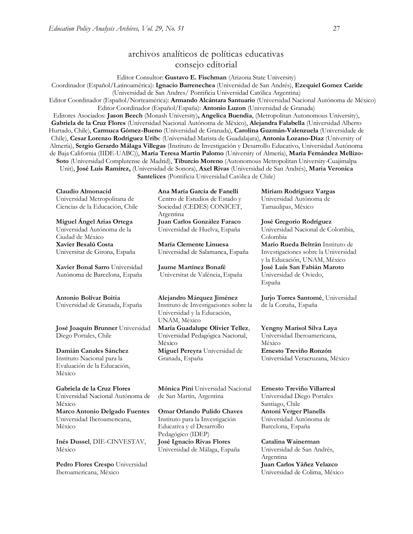## archivos analíticos de políticas educativas consejo editorial

Editor Consultor: **Gustavo E. Fischman** (Arizona State University)

Coordinador (Español/Latinoamérica): **Ignacio Barrenechea** (Universidad de San Andrés), **Ezequiel Gomez Caride** (Universidad de San Andres/ Pontificia Universidad Católica Argentina)

Editor Coordinador (Español/Norteamérica): **Armando Alcántara Santuario** (Universidad Nacional Autónoma de México) Editor Coordinador (Español/España): **Antonio Luzon** (Universidad de Granada)

Editores Asociados: **Jason Beech** (Monash University)**, Angelica Buendia**, (Metropolitan Autonomous University), **Gabriela de la Cruz Flores** (Universidad Nacional Autónoma de Mëxico), **Alejandra Falabella** (Universidad Alberto Hurtado, Chile), **Carmuca Gómez-Bueno** (Universidad de Granada), **Carolina Guzmán-Valenzuela** (Universidade de Chile), **Cesar Lorenzo Rodriguez Urib**e (Universidad Marista de Guadalajara), **Antonia Lozano-Díaz** (University of Almería), **Sergio Gerardo Málaga Villegas** (Instituto de Investigación y Desarrollo Educativo, Universidad Autónoma de Baja California (IIDE-UABC)), **María Teresa Martín Palomo** (University of Almería), **María Fernández Mellizo-Soto** (Universidad Complutense de Madrid), **Tiburcio Moreno** (Autonomous Metropolitan University-Cuajimalpa Unit), **José Luis Ramírez,** (Universidad de Sonora), **Axel Rivas** (Universidad de San Andrés), **Maria Veronica Santelices** (Pontificia Universidad Católica de Chile)

**Claudio Almonacid** Universidad Metropolitana de Ciencias de la Educación, Chile

**Miguel Ángel Arias Ortega**  Universidad Autónoma de la Ciudad de México **Xavier Besalú Costa**  Universitat de Girona, España

**[Xavier Bonal](javascript:openRTWindow() Sarro** Universidad Autónoma de Barcelona, España

#### **[Antonio Bolívar](javascript:openRTWindow() Boitia**

Universidad de Granada, España

**[José Joaquín Brunner](javascript:openRTWindow()** Universidad Diego Portales, Chile

**[Damián Canales Sánchez](javascript:openRTWindow()** Instituto Nacional para la Evaluación de la Educación, México

**Gabriela de la Cruz Flores** Universidad Nacional Autónoma de México **[Marco Antonio Delgado Fuentes](javascript:openRTWindow()** Universidad Iberoamericana, México

**[Inés Dussel](javascript:openRTWindow()**, DIE-CINVESTAV, México

**[Pedro Flores Crespo](javascript:openRTWindow()** Universidad Iberoamericana, México

**Ana María García de Fanelli**  Centro de Estudios de Estado y Sociedad (CEDES) CONICET, Argentina **Juan Carlos González Faraco**  Universidad de Huelva, España

**María Clemente Linuesa**  Universidad de Salamanca, España

**Jaume Martínez Bonafé** Universitat de València, España

**Alejandro Márquez Jiménez**  Instituto de Investigaciones sobre la Universidad y la Educación, UNAM, México

**María Guadalupe Olivier Tellez**, Universidad Pedagógica Nacional, México **[Miguel Pereyra](javascript:openRTWindow()** Universidad de Granada, España

**[Mónica Pini](javascript:openRTWindow()** Universidad Nacional de San Martín, Argentina

**Omar Orlando Pulido Chaves** Instituto para la Investigación Educativa y el Desarrollo Pedagógico (IDEP) **José Ignacio Rivas Flores** Universidad de Málaga, España

**[Miriam Rodríguez Vargas](javascript:openRTWindow()** Universidad Autónoma de Tamaulipas, México

**José Gregorio Rodríguez**  Universidad Nacional de Colombia, Colombia **[Mario Rueda Beltrán](javascript:openRTWindow()** Instituto de Investigaciones sobre la Universidad y la Educación, UNAM, México **José Luis San Fabián Maroto**  Universidad de Oviedo, España

**[Jurjo Torres Santomé](javascript:openRTWindow()**, Universidad de la Coruña, España

**[Yengny Marisol Silva Laya](javascript:openRTWindow()** Universidad Iberoamericana, México **Ernesto Treviño Ronzón** Universidad Veracruzana, México

**[Ernesto Treviño](javascript:openRTWindow() Villarreal** Universidad Diego Portales Santiago, Chile **[Antoni Verger Planells](javascript:openRTWindow()** Universidad Autónoma de Barcelona, España

**[Catalina Wainerman](javascript:openRTWindow()** Universidad de San Andrés, Argentina **Juan Carlos Yáñez Velazco** Universidad de Colima, México